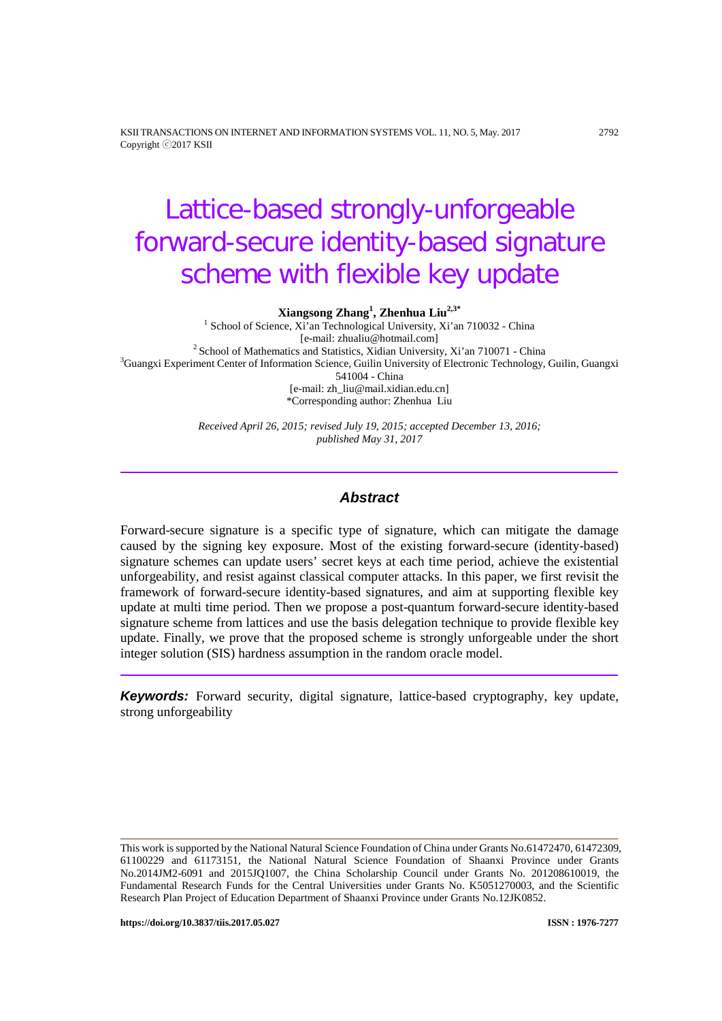KSII TRANSACTIONS ON INTERNET AND INFORMATION SYSTEMS VOL. 11, NO. 5, May. 2017 2792 Copyright ⓒ2017 KSII

# Lattice-based strongly-unforgeable forward-secure identity-based signature scheme with flexible key update

**Xiangsong Zhang<sup>1</sup> , Zhenhua Liu2,3\***

<sup>1</sup> School of Science, Xi'an Technological University, Xi'an 710032 - China [e-mail: zhualiu@hotmail.com]  $2$  School of Mathematics and Statistics, Xidian University, Xi'an 710071 - China <sup>3</sup>Guangxi Experiment Center of Information Science, Guilin University of Electronic Technology, Guilin, Guangxi 541004 - China [e-mail: zh\_liu@mail.xidian.edu.cn] \*Corresponding author: Zhenhua Liu

> *Received April 26, 2015; revised July 19, 2015; accepted December 13, 2016; published May 31, 2017*

# *Abstract*

Forward-secure signature is a specific type of signature, which can mitigate the damage caused by the signing key exposure. Most of the existing forward-secure (identity-based) signature schemes can update users' secret keys at each time period, achieve the existential unforgeability, and resist against classical computer attacks. In this paper, we first revisit the framework of forward-secure identity-based signatures, and aim at supporting flexible key update at multi time period. Then we propose a post-quantum forward-secure identity-based signature scheme from lattices and use the basis delegation technique to provide flexible key update. Finally, we prove that the proposed scheme is strongly unforgeable under the short integer solution (SIS) hardness assumption in the random oracle model.

*Keywords:* Forward security, digital signature, lattice-based cryptography, key update, strong unforgeability

This work is supported by the National Natural Science Foundation of China under Grants No.61472470, 61472309, 61100229 and 61173151, the National Natural Science Foundation of Shaanxi Province under Grants No.2014JM2-6091 and 2015JQ1007, the China Scholarship Council under Grants No. 201208610019, the Fundamental Research Funds for the Central Universities under Grants No. K5051270003, and the Scientific Research Plan Project of Education Department of Shaanxi Province under Grants No.12JK0852.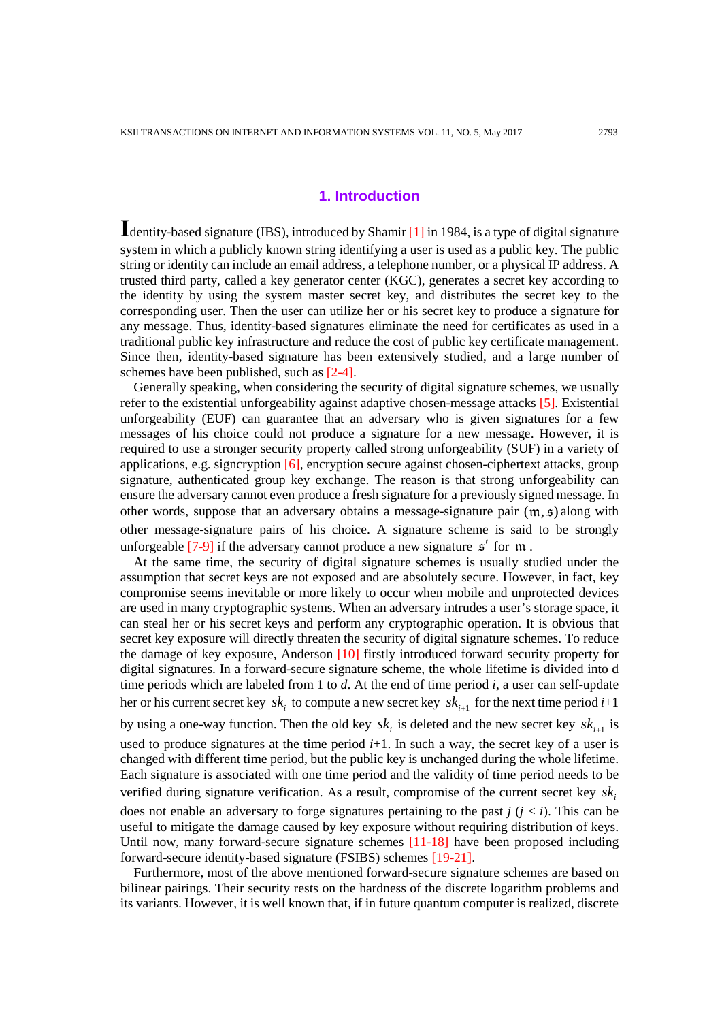# **1. Introduction**

**I**dentity-based signature (IBS), introduced by Shamir [\[1\]](#page-13-0) in 1984, is a type of digital signature system in which a publicly known string identifying a user is used as a public key. The public string or identity can include an email address, a telephone number, or a physical IP address. A trusted third party, called a key generator center (KGC), generates a secret key according to the identity by using the system master secret key, and distributes the secret key to the corresponding user. Then the user can utilize her or his secret key to produce a signature for any message. Thus, identity-based signatures eliminate the need for certificates as used in a traditional public key infrastructure and reduce the cost of public key certificate management. Since then, identity-based signature has been extensively studied, and a large number of schemes have been published, such as [2-4].

Generally speaking, when considering the security of digital signature schemes, we usually refer to the existential unforgeability against adaptive chosen-message attacks [\[5\].](#page-13-1) Existential unforgeability (EUF) can guarantee that an adversary who is given signatures for a few messages of his choice could not produce a signature for a new message. However, it is required to use a stronger security property called strong unforgeability (SUF) in a variety of applications, e.g. signcryption [\[6\],](#page-13-2) encryption secure against chosen-ciphertext attacks, group signature, authenticated group key exchange. The reason is that strong unforgeability can ensure the adversary cannot even produce a fresh signature for a previously signed message. In other words, suppose that an adversary obtains a message-signature pair  $(m, \mathfrak{s})$  along with other message-signature pairs of his choice. A signature scheme is said to be strongly unforgeable  $[7-9]$  if the adversary cannot produce a new signature  $\mathfrak{s}'$  for  $\mathfrak{m}$ .

At the same time, the security of digital signature schemes is usually studied under the assumption that secret keys are not exposed and are absolutely secure. However, in fact, key compromise seems inevitable or more likely to occur when mobile and unprotected devices are used in many cryptographic systems. When an adversary intrudes a user's storage space, it can steal her or his secret keys and perform any cryptographic operation. It is obvious that secret key exposure will directly threaten the security of digital signature schemes. To reduce the damage of key exposure, Anderson [\[10\]](#page-13-3) firstly introduced forward security property for digital signatures. In a forward-secure signature scheme, the whole lifetime is divided into d time periods which are labeled from 1 to *d*. At the end of time period *i*, a user can self-update her or his current secret key *sk*, to compute a new secret key *sk*<sub> $i+1$ </sub> for the next time period  $i+1$ 

by using a one-way function. Then the old key  $sk_i$  is deleted and the new secret key  $sk_{i+1}$  is used to produce signatures at the time period  $i+1$ . In such a way, the secret key of a user is changed with different time period, but the public key is unchanged during the whole lifetime. Each signature is associated with one time period and the validity of time period needs to be verified during signature verification. As a result, compromise of the current secret key  $sk$ . does not enable an adversary to forge signatures pertaining to the past  $j$  ( $j < i$ ). This can be useful to mitigate the damage caused by key exposure without requiring distribution of keys. Until now, many forward-secure signature schemes [11-18] have been proposed including forward-secure identity-based signature (FSIBS) schemes [19-21].

Furthermore, most of the above mentioned forward-secure signature schemes are based on bilinear pairings. Their security rests on the hardness of the discrete logarithm problems and its variants. However, it is well known that, if in future quantum computer is realized, discrete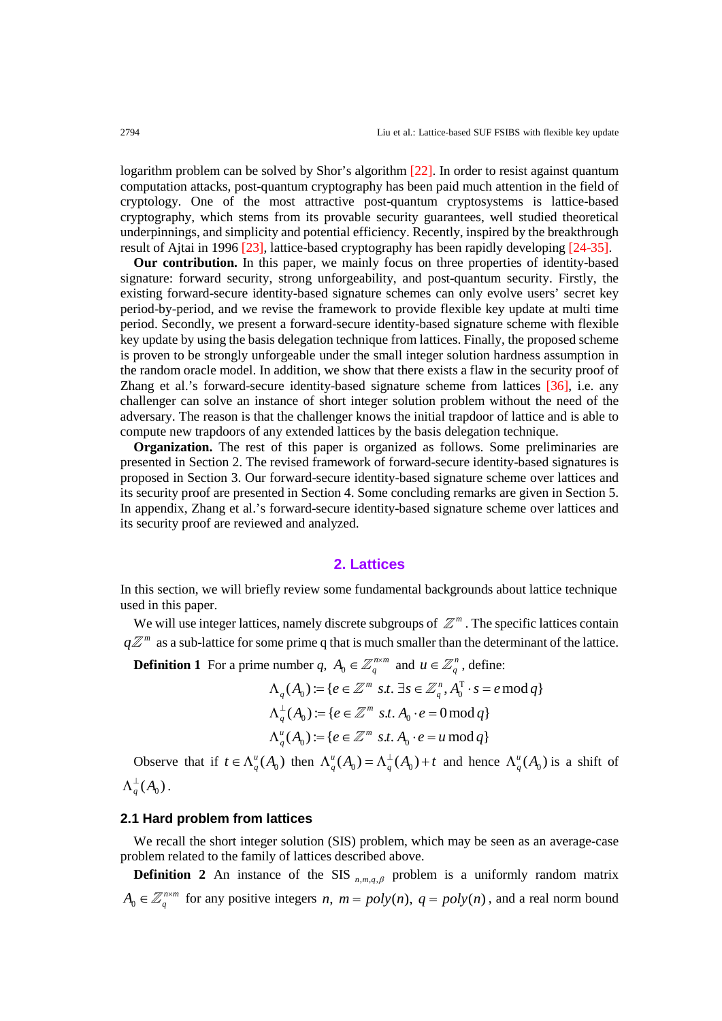logarithm problem can be solved by Shor's algorithm [\[22\].](#page-14-0) In order to resist against quantum computation attacks, post-quantum cryptography has been paid much attention in the field of cryptology. One of the most attractive post-quantum cryptosystems is lattice-based cryptography, which stems from its provable security guarantees, well studied theoretical underpinnings, and simplicity and potential efficiency. Recently, inspired by the breakthrough result of Ajtai in 1996 [\[23\],](#page-14-1) lattice-based cryptography has been rapidly developing [24-35].

**Our contribution.** In this paper, we mainly focus on three properties of identity-based signature: forward security, strong unforgeability, and post-quantum security. Firstly, the existing forward-secure identity-based signature schemes can only evolve users' secret key period-by-period, and we revise the framework to provide flexible key update at multi time period. Secondly, we present a forward-secure identity-based signature scheme with flexible key update by using the basis delegation technique from lattices. Finally, the proposed scheme is proven to be strongly unforgeable under the small integer solution hardness assumption in the random oracle model. In addition, we show that there exists a flaw in the security proof of Zhang et al.'s forward-secure identity-based signature scheme from lattices [\[36\],](#page-15-0) i.e. any challenger can solve an instance of short integer solution problem without the need of the adversary. The reason is that the challenger knows the initial trapdoor of lattice and is able to compute new trapdoors of any extended lattices by the basis delegation technique.

**Organization.** The rest of this paper is organized as follows. Some preliminaries are presented in Section 2. The revised framework of forward-secure identity-based signatures is proposed in Section 3. Our forward-secure identity-based signature scheme over lattices and its security proof are presented in Section 4. Some concluding remarks are given in Section 5. In appendix, Zhang et al.'s forward-secure identity-based signature scheme over lattices and its security proof are reviewed and analyzed.

# **2. Lattices**

In this section, we will briefly review some fundamental backgrounds about lattice technique used in this paper.

We will use integer lattices, namely discrete subgroups of  $\mathbb{Z}^m$ . The specific lattices contain  $q\mathbb{Z}^m$  as a sub-lattice for some prime q that is much smaller than the determinant of the lattice.

**Definition 1** For a prime number *q*,  $A_0 \in \mathbb{Z}_q^{n \times m}$  and  $u \in \mathbb{Z}_q^n$ , define:

$$
\Lambda_q(A_0) := \{ e \in \mathbb{Z}^m \text{ s.t. } \exists s \in \mathbb{Z}_q^n, A_0^\top \cdot s = e \mod q \}
$$
  

$$
\Lambda_q^\perp(A_0) := \{ e \in \mathbb{Z}^m \text{ s.t. } A_0 \cdot e = 0 \mod q \}
$$
  

$$
\Lambda_q^u(A_0) := \{ e \in \mathbb{Z}^m \text{ s.t. } A_0 \cdot e = u \mod q \}
$$

Observe that if  $t \in \Lambda_q^u(A_0)$  then  $\Lambda_q^u(A_0) = \Lambda_q^{\perp}(A_0) + t$  and hence  $\Lambda_q^u(A_0)$  is a shift of  $\Lambda_q^{\perp}(A_0)$  .

## **2.1 Hard problem from lattices**

We recall the short integer solution (SIS) problem, which may be seen as an average-case problem related to the family of lattices described above.

**Definition 2** An instance of the SIS  $_{n,m,q,\beta}$  problem is a uniformly random matrix  $A_0 \in \mathbb{Z}_q^{n \times m}$  for any positive integers *n*,  $m = poly(n)$ ,  $q = poly(n)$ , and a real norm bound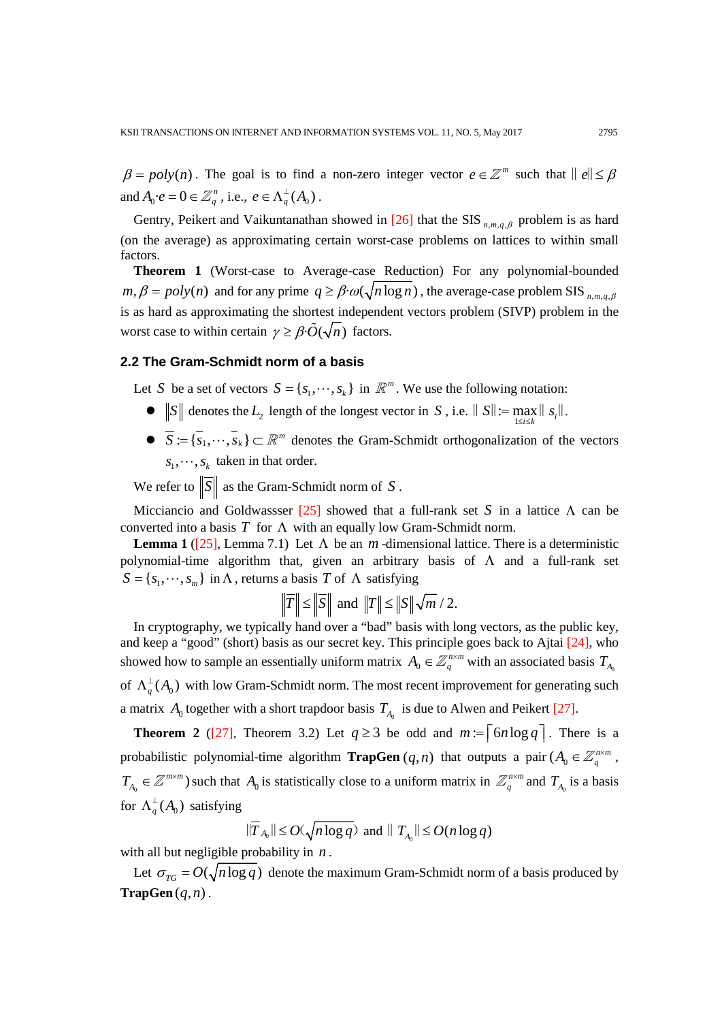$\beta = poly(n)$ . The goal is to find a non-zero integer vector  $e \in \mathbb{Z}^m$  such that  $||e|| \le \beta$ and  $A_0 \cdot e = 0 \in \mathbb{Z}_q^n$ , i.e.,  $e \in \Lambda_q^{\perp}(A_0)$ .

Gentry, Peikert and Vaikuntanathan showed in [\[26\]](#page-14-2) that the SIS  $_{n,m,q,\beta}$  problem is as hard (on the average) as approximating certain worst-case problems on lattices to within small factors.

**Theorem 1** (Worst-case to Average-case Reduction) For any polynomial-bounded  $m, \beta = poly(n)$  and for any prime  $q \ge \beta \cdot \omega(\sqrt{n \log n})$ , the average-case problem SIS  $_{n,m,q,\beta}$ is as hard as approximating the shortest independent vectors problem (SIVP) problem in the worst case to within certain  $\gamma \geq \beta \cdot \tilde{O}(\sqrt{n})$  factors.

# **2.2 The Gram-Schmidt norm of a basis**

Let *S* be a set of vectors  $S = \{s_1, \dots, s_k\}$  in  $\mathbb{R}^m$ . We use the following notation:

- $||S||$  denotes the  $L_2$  length of the longest vector in *S*, i.e.  $||S|| := \max_{1 \le i \le k} ||S_i||$ .
- $\overline{S} := \{\overline{s}_1, \dots, \overline{s}_k\} \subset \mathbb{R}^m$  denotes the Gram-Schmidt orthogonalization of the vectors  $s_1, \dots, s_k$  taken in that order.

We refer to  $\|\overline{S}\|$  as the Gram-Schmidt norm of *S*.

Micciancio and Goldwassser [\[25\]](#page-14-3) showed that a full-rank set *S* in a lattice Λ can be converted into a basis  $T$  for  $\Lambda$  with an equally low Gram-Schmidt norm.

**Lemma 1** [\(\[25\],](#page-14-3) Lemma 7.1) Let  $\Lambda$  be an *m*-dimensional lattice. There is a deterministic polynomial-time algorithm that, given an arbitrary basis of Λ and a full-rank set  $S = \{s_1, \dots, s_m\}$  in  $\Lambda$ , returns a basis *T* of  $\Lambda$  satisfying

$$
\|\overline{T}\| \le \|\overline{S}\| \text{ and } \|T\| \le \|S\|\sqrt{m}/2.
$$

In cryptography, we typically hand over a "bad" basis with long vectors, as the public key, and keep a "good" (short) basis as our secret key. This principle goes back to Ajtai [\[24\],](#page-14-4) who showed how to sample an essentially uniform matrix  $A_0 \in \mathbb{Z}_q^{n \times m}$  with an associated basis  $T_{A_0}$ of  $\Lambda_q^{\perp}(A_0)$  with low Gram-Schmidt norm. The most recent improvement for generating such a matrix  $A_0$  together with a short trapdoor basis  $T_{A_0}$  is due to Alwen and Peikert [\[27\].](#page-14-5)

**Theorem 2** [\(\[27\],](#page-14-5) Theorem 3.2) Let  $q \ge 3$  be odd and  $m := \lceil 6n \log q \rceil$ . There is a probabilistic polynomial-time algorithm **TrapGen**  $(q, n)$  that outputs a pair  $(A_0 \in \mathbb{Z}_q^{n \times m})$ ,  $T_{A_0} \in \mathbb{Z}^{m \times m}$ ) such that  $A_0$  is statistically close to a uniform matrix in  $\mathbb{Z}_q^{n \times m}$  and  $T_{A_0}$  is a basis for  $\Lambda_q^{\perp}(A_0)$  satisfying

$$
\|\overline{T}_{A_0}\| \le O(\sqrt{n \log q}) \text{ and } \|T_{A_0}\| \le O(n \log q)
$$

with all but negligible probability in *n* .

Let  $\sigma_{TG} = O(\sqrt{n \log q})$  denote the maximum Gram-Schmidt norm of a basis produced by **.**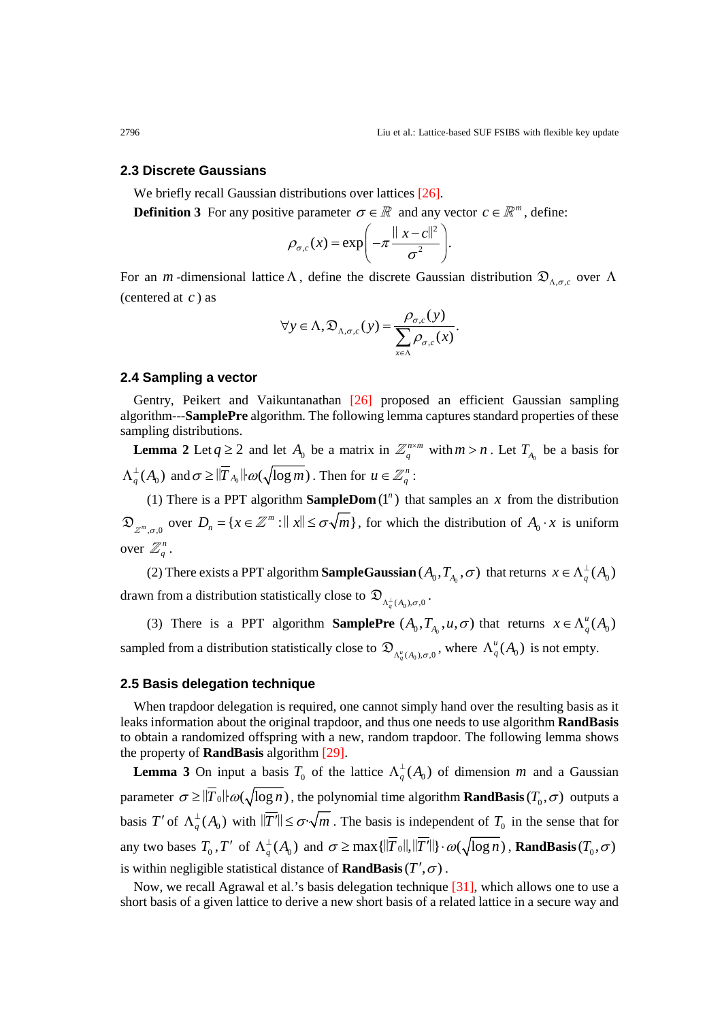#### **2.3 Discrete Gaussians**

We briefly recall Gaussian distributions over lattices [\[26\].](#page-14-2)

**Definition 3** For any positive parameter  $\sigma \in \mathbb{R}$  and any vector  $c \in \mathbb{R}^m$ , define:

$$
\rho_{\sigma,c}(x) = \exp\left(-\pi \frac{\|x-c\|^2}{\sigma^2}\right).
$$

For an *m*-dimensional lattice  $\Lambda$ , define the discrete Gaussian distribution  $\mathfrak{D}_{\Lambda,\sigma,c}$  over  $\Lambda$ (centered at *c* ) as

$$
\forall y \in \Lambda, \mathfrak{D}_{\Lambda, \sigma, c}(y) = \frac{\rho_{\sigma, c}(y)}{\sum_{x \in \Lambda} \rho_{\sigma, c}(x)}.
$$

#### **2.4 Sampling a vector**

Gentry, Peikert and Vaikuntanathan [\[26\]](#page-14-2) proposed an efficient Gaussian sampling algorithm---**SamplePre** algorithm. The following lemma captures standard properties of these sampling distributions.

**Lemma 2** Let  $q \ge 2$  and let  $A_0$  be a matrix in  $\mathbb{Z}_q^{n \times m}$  with  $m > n$ . Let  $T_{A_0}$  be a basis for  $\Lambda_q^{\perp}(A_0^+)$  and  $\sigma \geq \|\overline{T}_{A_0}\| \omega(\sqrt{\log m})$  . Then for  $u \in \mathbb{Z}_q^n$  :

(1) There is a PPT algorithm **SampleDom**  $(1^n)$  that samples an *x* from the distribution  $\mathfrak{D}_{\mathbb{Z}^m, \sigma, 0}$  over  $D_n = \{x \in \mathbb{Z}^m : ||x|| \leq \sigma \sqrt{m}\}\$ , for which the distribution of  $A_0 \cdot x$  is uniform over  $\mathbb{Z}_q^n$ .

(2) There exists a PPT algorithm **SampleGaussian**  $(A_0, T_{A_0}, \sigma)$  that returns  $x \in \Lambda_a^{\perp}(A_0)$ drawn from a distribution statistically close to  $\mathfrak{D}_{\Lambda^{\perp}(A_0),\sigma(0)}$ 

(3) There is a PPT algorithm **SamplePre**  $(A_0, T_{A_0}, u, \sigma)$  that returns  $x \in \Lambda_q^u(A_0)$ sampled from a distribution statistically close to  $\mathfrak{D}_{\Lambda_q^u(A_0), \sigma, 0}$ , where  $\Lambda_q^u(A_0)$  is not empty.

#### **2.5 Basis delegation technique**

When trapdoor delegation is required, one cannot simply hand over the resulting basis as it leaks information about the original trapdoor, and thus one needs to use algorithm **RandBasis** to obtain a randomized offspring with a new, random trapdoor. The following lemma shows the property of **RandBasis** algorithm [\[29\].](#page-14-6)

**Lemma 3** On input a basis  $T_0$  of the lattice  $\Lambda_q^{\perp}(A_0)$  of dimension *m* and a Gaussian parameter  $\sigma \ge ||T_0|| \omega(\sqrt{\log n})$ , the polynomial time algorithm **RandBasis**  $(T_0, \sigma)$  outputs a basis *T'* of  $\Lambda_q^{\perp}(A_0)$  with  $\|\overline{T'}\| \leq \sigma \sqrt{m}$ . The basis is independent of  $T_0$  in the sense that for any two bases  $T_0$ ,  $T'$  of  $\Lambda_q^{\perp}(A_0)$  and  $\sigma \ge \max\{|\overline{T}_0||,|\overline{T}'||\}\cdot \omega(\sqrt{\log n})$ , **RandBasis**  $(T_0,\sigma)$ is within negligible statistical distance of **RandBasis**( $T', \sigma$ ).

Now, we recall Agrawal et al.'s basis delegation technique [\[31\],](#page-14-7) which allows one to use a short basis of a given lattice to derive a new short basis of a related lattice in a secure way and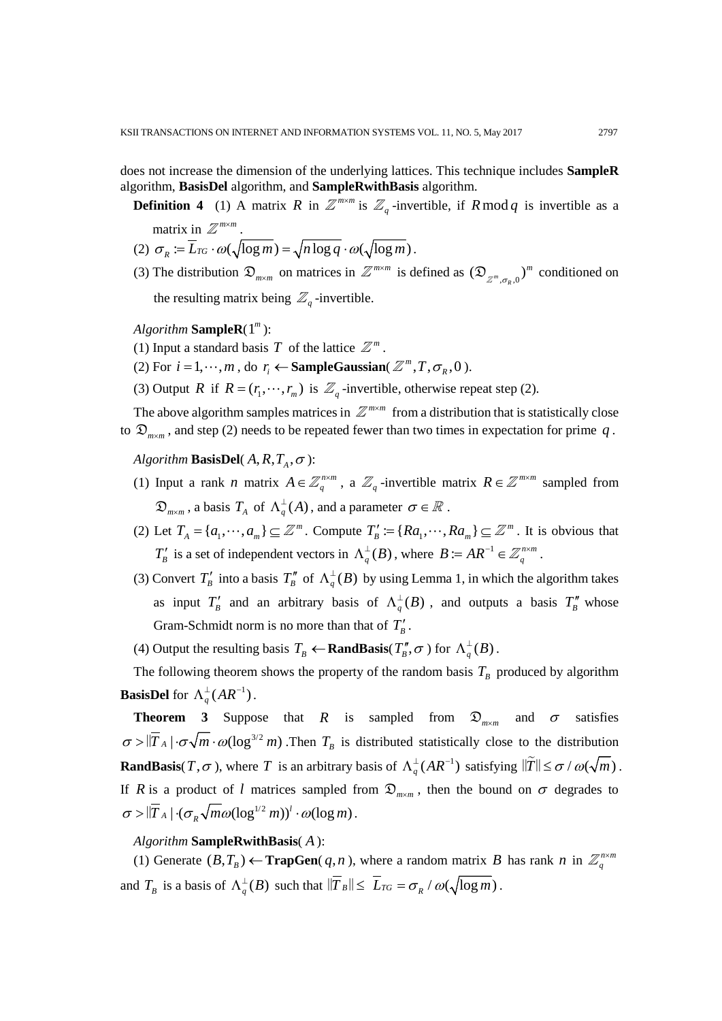does not increase the dimension of the underlying lattices. This technique includes **SampleR**  algorithm, **BasisDel** algorithm, and **SampleRwithBasis** algorithm.

**Definition 4** (1) A matrix *R* in  $\mathbb{Z}^{m \times m}$  is  $\mathbb{Z}_q$ -invertible, if *R* mod *q* is invertible as a

matrix in  $\mathbb{Z}^{m \times m}$ .

- (2)  $\sigma_R := \overline{L}_{TG} \cdot \omega(\sqrt{\log m}) = \sqrt{n \log q} \cdot \omega(\sqrt{\log m})$ .
- (3) The distribution  $\mathfrak{D}_{m \times m}$  on matrices in  $\mathbb{Z}^{m \times m}$  is defined as  $(\mathfrak{D}_{\mathbb{Z}^m, \sigma_R, 0})^m$  conditioned on the resulting matrix being  $\mathbb{Z}_q$ -invertible.
- *Algorithm* **SampleR**(1 *<sup>m</sup>* ):
- (1) Input a standard basis *T* of the lattice  $\mathbb{Z}^m$ .
- (2) For  $i = 1, \dots, m$ , do  $r_i \leftarrow$  **SampleGaussian**( $\mathbb{Z}^m, T, \sigma_R, 0$ ).
- (3) Output *R* if  $R = (r_1, \dots, r_m)$  is  $\mathbb{Z}_q$ -invertible, otherwise repeat step (2).

The above algorithm samples matrices in  $\mathbb{Z}^{m \times m}$  from a distribution that is statistically close to  $\mathfrak{D}_{m \times m}$ , and step (2) needs to be repeated fewer than two times in expectation for prime q.

*Algorithm* **BasisDel**( $A, R, T_A, \sigma$ ):

- (1) Input a rank *n* matrix  $A \in \mathbb{Z}_q^{n \times m}$ , a  $\mathbb{Z}_q$ -invertible matrix  $R \in \mathbb{Z}^{m \times m}$  sampled from  $\mathfrak{D}_{m \times m}$  , a basis  $T_A$  of  $\Lambda_q^{\perp}(A)$  , and a parameter  $\sigma \in \mathbb{R}$  .
- (2) Let  $T_A = \{a_1, \dots, a_m\} \subseteq \mathbb{Z}^m$ . Compute  $T'_B := \{Ra_1, \dots, Ra_m\} \subseteq \mathbb{Z}^m$ . It is obvious that *T<sub>B</sub>* is a set of independent vectors in  $\Lambda_q^{\perp}(B)$ , where  $B := AR^{-1} \in \mathbb{Z}_q^{n \times m}$ .
- (3) Convert  $T'_B$  into a basis  $T''_B$  of  $\Lambda_q^{\perp}(B)$  by using Lemma 1, in which the algorithm takes as input  $T'_B$  and an arbitrary basis of  $\Lambda_q^{\perp}(B)$ , and outputs a basis  $T''_B$  whose Gram-Schmidt norm is no more than that of  $T'_B$ .
- (4) Output the resulting basis  $T_B \leftarrow \textbf{RandBasis}(T_B^{\prime\prime}, \sigma)$  for  $\Lambda_q^{\perp}(B)$ .

The following theorem shows the property of the random basis  $T_B$  produced by algorithm **BasisDel** for  $\Lambda_q^{\perp}(AR^{-1})$ .

**Theorem 3** Suppose that *R* is sampled from  $\mathfrak{D}_{m \times m}$  and  $\sigma$  satisfies  $\sigma > |\overline{T}_A| \cdot \sigma \sqrt{m} \cdot \omega(\log^{3/2} m)$ . Then  $T_B$  is distributed statistically close to the distribution **RandBasis**(*T*, $\sigma$ ), where *T* is an arbitrary basis of  $\Lambda_q^{\perp}(AR^{-1})$  satisfying  $\|\tilde{T}\| \leq \sigma / \omega(\sqrt{m})$ . If *R* is a product of *l* matrices sampled from  $\mathcal{D}_{m \times m}$ , then the bound on  $\sigma$  degrades to  $\sigma > |\overline{T}_A| \cdot (\sigma_R \sqrt{m\omega(\log^{1/2} m)})^l \cdot \omega(\log m)$ .

### *Algorithm* **SampleRwithBasis**( *A* ):

(1) Generate  $(B, T_B)$  ← **TrapGen**( $q, n$ ), where a random matrix *B* has rank *n* in  $\mathbb{Z}_q^{n \times m}$ and  $T_B$  is a basis of  $\Lambda_q^{\perp}(B)$  such that  $\|\overline{T}_B\| \leq \overline{L}_{TG} = \sigma_R / \omega(\sqrt{\log m})$ .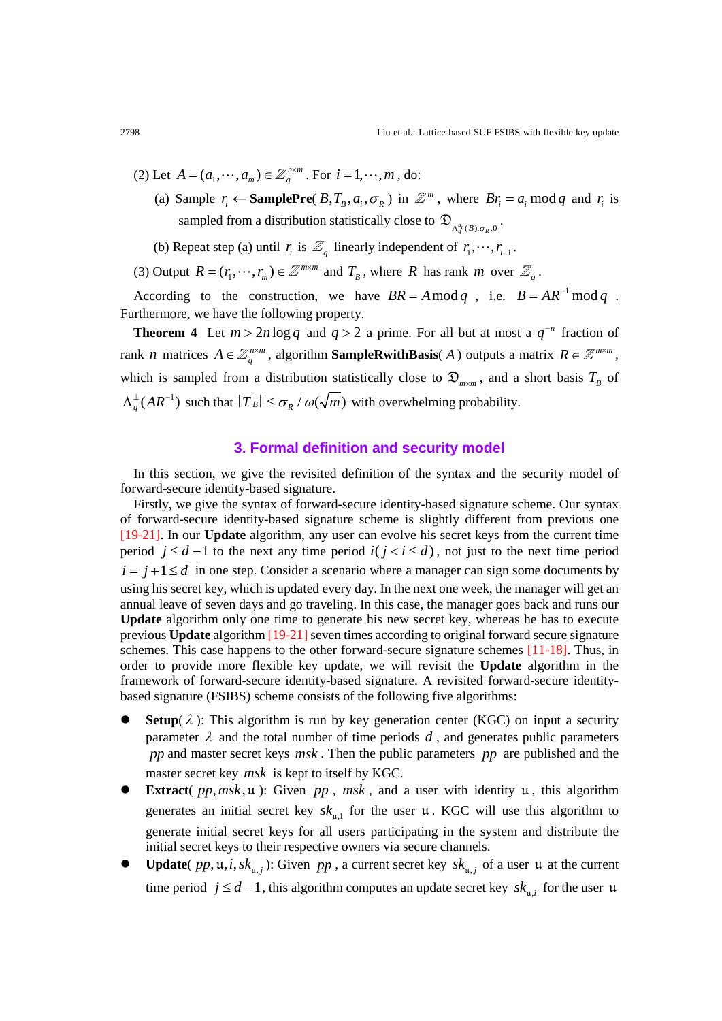- (2) Let  $A = (a_1, \dots, a_m) \in \mathbb{Z}_q^{n \times m}$ . For  $i = 1, \dots, m$ , do:
	- (a) Sample  $r_i \leftarrow$  **SamplePre**( $B, T_B, a_i, \sigma_R$ ) in  $\mathbb{Z}^m$ , where  $Br_i = a_i \mod q$  and  $r_i$  is sampled from a distribution statistically close to  $\mathfrak{D}_{\Lambda_q^{\alpha}(B), \sigma_p, 0}$ .
	- (b) Repeat step (a) until  $r_i$  is  $\mathbb{Z}_q$  linearly independent of  $r_1, \dots, r_{i-1}$ .
- (3) Output  $R = (r_1, \dots, r_m) \in \mathbb{Z}^{m \times m}$  and  $T_B$ , where *R* has rank *m* over  $\mathbb{Z}_q$ .

According to the construction, we have  $BR = A \mod q$ , i.e.  $B = AR^{-1} \mod q$ . Furthermore, we have the following property.

**Theorem 4** Let  $m > 2n \log q$  and  $q > 2$  a prime. For all but at most a  $q^{-n}$  fraction of rank *n* matrices  $A \in \mathbb{Z}_q^{n \times m}$ , algorithm **SampleRwithBasis**(*A*) outputs a matrix  $R \in \mathbb{Z}^{m \times m}$ , which is sampled from a distribution statistically close to  $\mathfrak{D}_{m \times m}$ , and a short basis  $T_B$  of  $\Lambda_q^{\perp}(AR^{-1})$  such that  $\|\overline{T}_B\| \le \sigma_R / \omega(\sqrt{m})$  with overwhelming probability.

# **3. Formal definition and security model**

In this section, we give the revisited definition of the syntax and the security model of forward-secure identity-based signature.

Firstly, we give the syntax of forward-secure identity-based signature scheme. Our syntax of forward-secure identity-based signature scheme is slightly different from previous one [19-21]. In our **Update** algorithm, any user can evolve his secret keys from the current time period  $j \leq d-1$  to the next any time period  $i(j < i \leq d)$ , not just to the next time period  $i = j + 1 \le d$  in one step. Consider a scenario where a manager can sign some documents by using his secret key, which is updated every day. In the next one week, the manager will get an annual leave of seven days and go traveling. In this case, the manager goes back and runs our **Update** algorithm only one time to generate his new secret key, whereas he has to execute previous **Update** algorithm [19-21] seven times according to original forward secure signature schemes. This case happens to the other forward-secure signature schemes [11-18]. Thus, in order to provide more flexible key update, we will revisit the **Update** algorithm in the framework of forward-secure identity-based signature. A revisited forward-secure identitybased signature (FSIBS) scheme consists of the following five algorithms:

- **Setup**( $\lambda$ ): This algorithm is run by key generation center (KGC) on input a security parameter  $\lambda$  and the total number of time periods  $d$ , and generates public parameters *pp* and master secret keys *msk* . Then the public parameters *pp* are published and the master secret key *msk* is kept to itself by KGC.
- **Extract**( $pp, msk, u$ ): Given  $pp, msk$ , and a user with identity u, this algorithm generates an initial secret key  $sk_{u,1}$  for the user u. KGC will use this algorithm to generate initial secret keys for all users participating in the system and distribute the initial secret keys to their respective owners via secure channels.
- **Update**(  $pp$ ,  $\mu$ , *i*,  $sk_{\mu}$ ): Given  $pp$ , a current secret key  $sk_{\mu}$  of a user  $\mu$  at the current time period  $j \leq d-1$ , this algorithm computes an update secret key  $sk_{ni}$  for the user u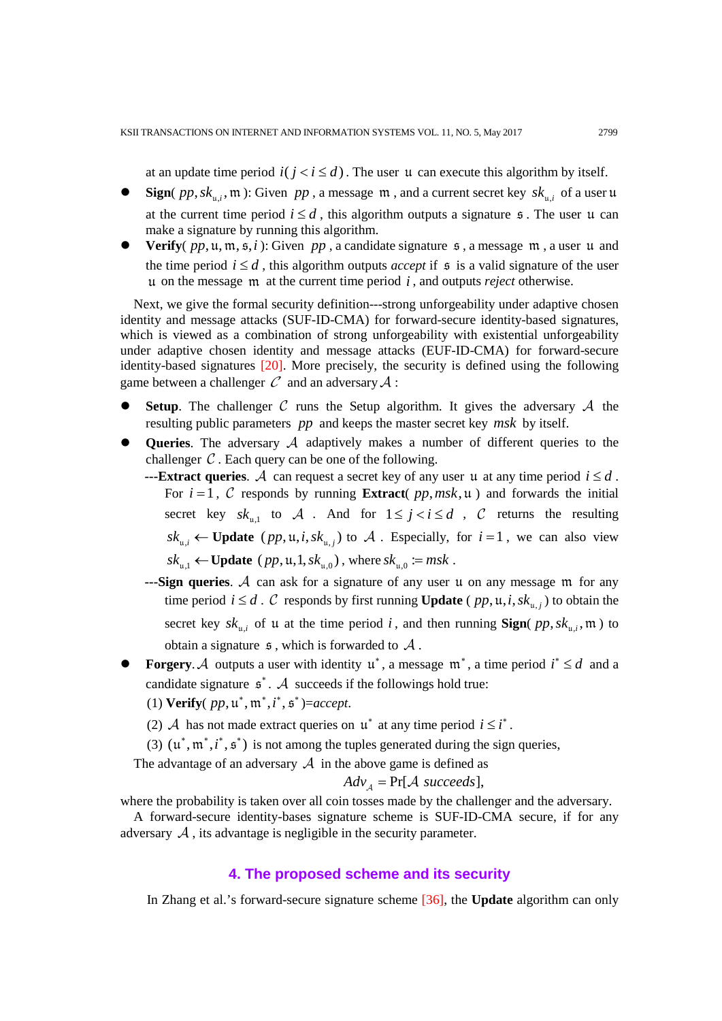at an update time period  $i(j \lt i \leq d)$ . The user u can execute this algorithm by itself.

- **Sign**(  $pp, sk_{ni}$ ,  $m$ ): Given  $pp$ , a message  $m$ , and a current secret key  $sk_{ni}$  of a user u at the current time period  $i \leq d$ , this algorithm outputs a signature  $\epsilon$ . The user  $\mu$  can make a signature by running this algorithm.
- **Verify**( $pp$ ,  $u$ ,  $m$ ,  $\overline{s}$ ,  $i$ ): Given  $pp$ , a candidate signature  $\overline{s}$ , a message  $m$ , a user  $u$  and the time period  $i \leq d$ , this algorithm outputs *accept* if  $\epsilon$  is a valid signature of the user u on the message m at the current time period *i* , and outputs *reject* otherwise.

Next, we give the formal security definition---strong unforgeability under adaptive chosen identity and message attacks (SUF-ID-CMA) for forward-secure identity-based signatures, which is viewed as a combination of strong unforgeability with existential unforgeability under adaptive chosen identity and message attacks (EUF-ID-CMA) for forward-secure identity-based signatures [\[20\].](#page-14-8) More precisely, the security is defined using the following game between a challenger  $\mathcal C$  and an adversary  $\mathcal A$ :

- **Setup**. The challenger  $C$  runs the Setup algorithm. It gives the adversary  $A$  the resulting public parameters *pp* and keeps the master secret key *msk* by itself.
- **Queries**. The adversary  $A$  adaptively makes a number of different queries to the challenger  $C$ . Each query can be one of the following.
	- **---Extract queries**. A can request a secret key of any user u at any time period  $i \leq d$ . For  $i = 1$ , C responds by running **Extract**( $pp, msk, \mu$ ) and forwards the initial secret key  $sk_{u,1}$  to A . And for  $1 \leq j < i \leq d$ , C returns the resulting  $sk_{i,j} \leftarrow \textbf{Update} (pp, \mu, i, sk_{i,j})$  to  $\mathcal{A}$ . Especially, for  $i = 1$ , we can also view  $sk_{n-1} \leftarrow \textbf{Update} (pp, \mathfrak{u}, 1, sk_{n,0})$ , where  $sk_{n,0} := msk$ .
	- $-$ **--Sign queries**. A can ask for a signature of any user u on any message  $m$  for any time period  $i \leq d$ .  $C$  responds by first running **Update** ( $pp$ ,  $\mu$ ,  $i$ ,  $sk_{\mu,j}$ ) to obtain the secret key  $sk_{u,i}$  of u at the time period *i*, and then running **Sign**(  $pp, sk_{u,i}$ ,  $m$ ) to obtain a signature  $\mathfrak s$ , which is forwarded to  $\mathcal A$ .
- **Forgery.** A outputs a user with identity  $\mathfrak{u}^*$ , a message  $\mathfrak{m}^*$ , a time period  $i^* \leq d$  and a candidate signature  $\boldsymbol{s}^*$ . A succeeds if the followings hold true:
	- (1) **Verify** $(pp, u^*, m^*, i^*, s^*) = accept.$
	- (2) *A* has not made extract queries on  $\mu^*$  at any time period  $i \leq i^*$ .
	- (3)  $(\mu^*, m^*, i^*, s^*)$  is not among the tuples generated during the sign queries,

The advantage of an adversary  $\mathcal A$  in the above game is defined as

$$
Adv_{A} = Pr[A \ succeeds],
$$

where the probability is taken over all coin tosses made by the challenger and the adversary.

A forward-secure identity-bases signature scheme is SUF-ID-CMA secure, if for any adversary  $\mathcal A$ , its advantage is negligible in the security parameter.

#### **4. The proposed scheme and its security**

In Zhang et al.'s forward-secure signature scheme [\[36\],](#page-15-0) the **Update** algorithm can only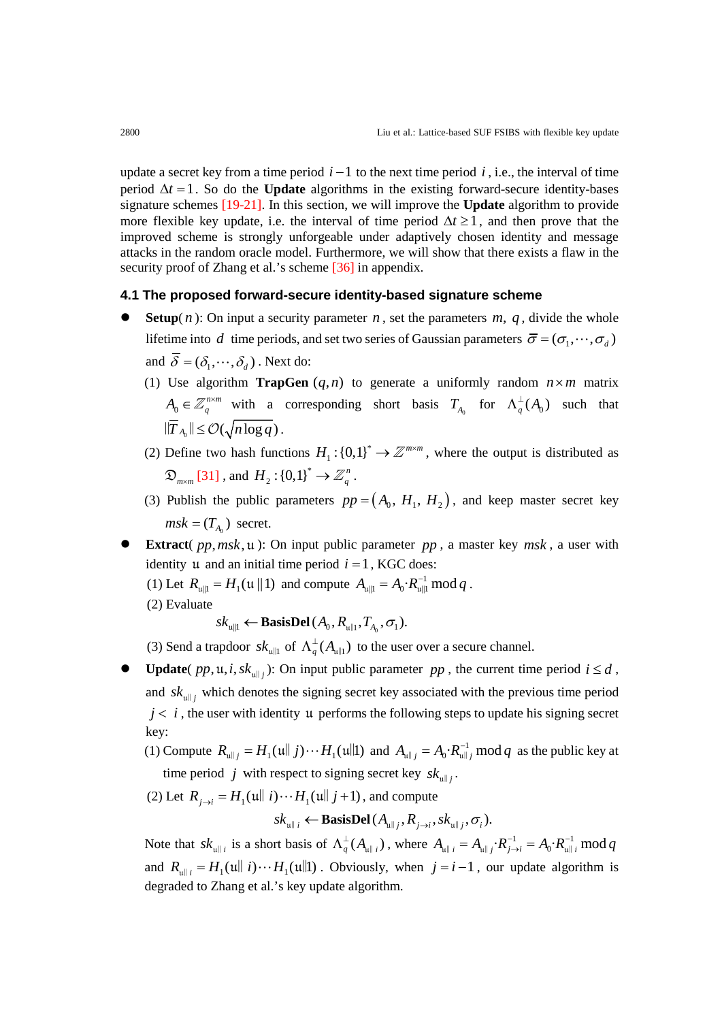update a secret key from a time period  $i - 1$  to the next time period  $i$ , i.e., the interval of time period  $\Delta t = 1$ . So do the **Update** algorithms in the existing forward-secure identity-bases signature schemes [19-21]. In this section, we will improve the **Update** algorithm to provide more flexible key update, i.e. the interval of time period  $\Delta t \ge 1$ , and then prove that the improved scheme is strongly unforgeable under adaptively chosen identity and message attacks in the random oracle model. Furthermore, we will show that there exists a flaw in the security proof of Zhang et al.'s scheme [\[36\]](#page-15-0) in appendix.

#### **4.1 The proposed forward-secure identity-based signature scheme**

- **Setup**( $n$ ): On input a security parameter  $n$ , set the parameters  $m$ ,  $q$ , divide the whole lifetime into *d* time periods, and set two series of Gaussian parameters  $\bar{\sigma} = (\sigma_1, \dots, \sigma_d)$ and  $\overline{\delta} = (\delta_1, \cdots, \delta_d)$ . Next do:
	- (1) Use algorithm **TrapGen**  $(q, n)$  to generate a uniformly random  $n \times m$  matrix  $A_0 \in \mathbb{Z}_q^{n \times m}$  with a corresponding short basis  $T_{A_0}$  for  $\Lambda_q^{\perp}(A_0)$  such that  $\|\overline{T}_{A_0}\| \leq \mathcal{O}(\sqrt{n \log q})$ .
	- (2) Define two hash functions  $H_1$ :  $\{0,1\}^* \to \mathbb{Z}^{m \times m}$ , where the output is distributed as  $\mathfrak{D}_{m \times m}$  [\[31\]](#page-14-7), and  $H_2$ : {0,1}<sup>\*</sup>  $\rightarrow \mathbb{Z}_q^n$ .
	- (3) Publish the public parameters  $pp = (A_0, H_1, H_2)$ , and keep master secret key  $msk = (T_A)$  secret.
- **Extract**(  $pp, msk, u$ ): On input public parameter  $pp$ , a master key  $msk$ , a user with identity u and an initial time period  $i = 1$ , KGC does:
	- (1) Let  $R_{\mu \|1} = H_1(\mu \| 1)$  and compute  $A_{\mu \|1} = A_0 \cdot R_{\mu \| 1}^{-1} \text{ mod } q$ .
	- (2) Evaluate

 $sk_{\text{full}} \leftarrow$  **BasisDel**  $(A_0, R_{\text{all}}, T_A, \sigma_1)$ .

(3) Send a trapdoor  $s k_{\text{full}}$  of  $\Lambda_q^{\perp}(A_{\text{full}})$  to the user over a secure channel.

- **Update**(  $pp$ ,  $\mu$ , *i*,  $sk$ <sub>ull</sub>): On input public parameter  $pp$ , the current time period  $i \leq d$ , and  $sk_{\text{full}}$  which denotes the signing secret key associated with the previous time period  $j < i$ , the user with identity u performs the following steps to update his signing secret key:
	- (1) Compute  $R_{\text{u||}j} = H_1(\text{u||} j) \cdots H_1(\text{u||} 1)$  and  $A_{\text{u||}j} = A_0 \cdot R_{\text{u||}j}^{-1} \mod q$  as the public key at time period *j* with respect to signing secret key  $sk_{\text{full}}$ .
	- (2) Let  $R_{i \to i} = H_1(\text{null } i) \cdots H_1(\text{null } j+1)$ , and compute

$$
sk_{\mathbf{u} \parallel i} \leftarrow \mathbf{BasisDel}(A_{\mathbf{u} \parallel j}, R_{j \rightarrow i}, sk_{\mathbf{u} \parallel j}, \sigma_i).
$$

Note that  $sk_{u||i}$  is a short basis of  $\Lambda_q^{\perp}(A_{u||i})$ , where  $A_{u||i} = A_{u||j} \cdot R_{j \to i}^{-1} = A_0 \cdot R_{u||i}^{-1}$  mod q and  $R_{\|i} = H_1(\|i\|) \cdots H_1(\|i\|)$ . Obviously, when  $j = i - 1$ , our update algorithm is degraded to Zhang et al.'s key update algorithm.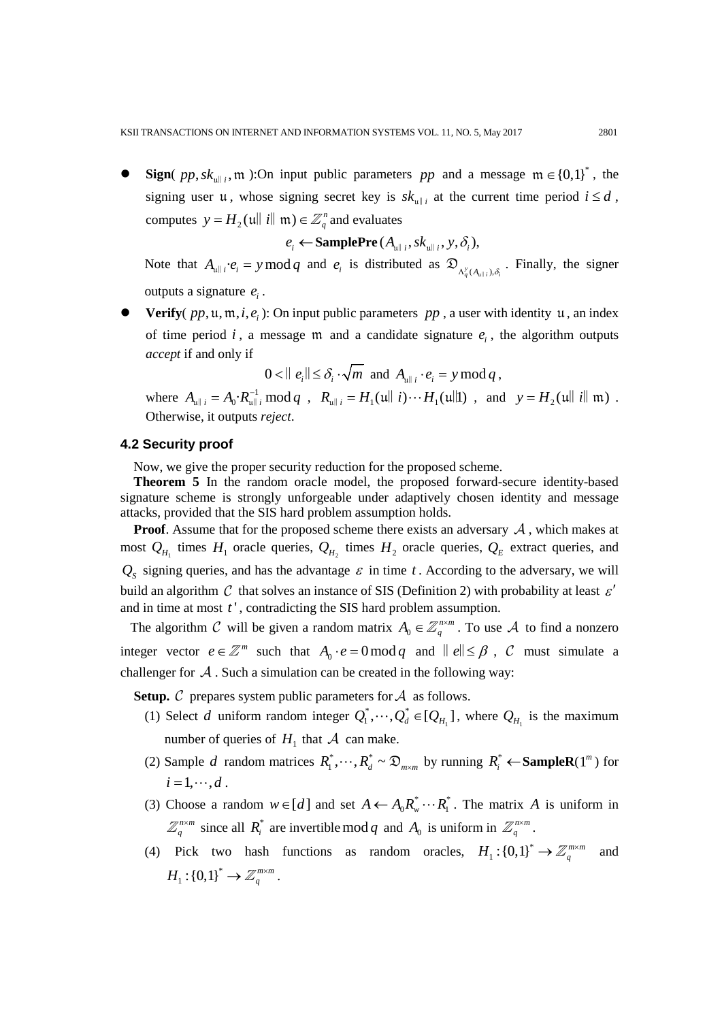**Sign**(  $pp, sk_{\text{full }i}$ ,  $m$ ):On input public parameters  $pp$  and a message  $m \in \{0,1\}^*$ , the signing user u, whose signing secret key is  $sk_{\text{null}}$  at the current time period  $i \leq d$ , computes  $y = H_2(u||i||m) \in \mathbb{Z}_q^n$  and evaluates

$$
e_i \leftarrow \textbf{SamplePre}(A_{\text{full }i}, \textit{sk}_{\text{null }i}, y, \delta_i),
$$

Note that  $A_{\mu \|i} \cdot e_i = y \mod q$  and  $e_i$  is distributed as  $\mathfrak{D}_{A_q^y(A_{\mu | i}), \delta_i}$ . Finally, the signer outputs a signature  $e_i$ .

**Verify**(  $pp$ ,  $u$ ,  $m$ ,  $i$ ,  $e$ <sub>)</sub>: On input public parameters  $pp$ , a user with identity u, an index of time period  $i$ , a message  $m$  and a candidate signature  $e_i$ , the algorithm outputs *accept* if and only if

$$
0 < ||e_i|| \leq \delta_i \cdot \sqrt{m} \text{ and } A_{\mathfrak{u}||i} \cdot e_i = y \bmod q,
$$

where  $A_{\mu \| i} = A_0 \cdot R_{\mu \| i}^{-1} \mod q$ ,  $R_{\mu \| i} = H_1(\mu \| i) \cdots H_1(\mu \| 1)$ , and  $y = H_2(\mu \| i \| \mathfrak{m})$ . Otherwise, it outputs *reject*.

## **4.2 Security proof**

Now, we give the proper security reduction for the proposed scheme.

**Theorem 5** In the random oracle model, the proposed forward-secure identity-based signature scheme is strongly unforgeable under adaptively chosen identity and message attacks, provided that the SIS hard problem assumption holds.

**Proof.** Assume that for the proposed scheme there exists an adversary  $A$ , which makes at most  $Q_{H_1}$  times  $H_1$  oracle queries,  $Q_{H_2}$  times  $H_2$  oracle queries,  $Q_E$  extract queries, and  $Q<sub>s</sub>$  signing queries, and has the advantage  $\varepsilon$  in time *t*. According to the adversary, we will build an algorithm C that solves an instance of SIS (Definition 2) with probability at least  $\varepsilon'$ and in time at most *t* ' , contradicting the SIS hard problem assumption.

The algorithm C will be given a random matrix  $A_0 \in \mathbb{Z}_q^{n \times m}$ . To use A to find a nonzero integer vector  $e \in \mathbb{Z}^m$  such that  $A_0 \cdot e = 0 \mod q$  and  $||e|| \leq \beta$ ,  $C$  must simulate a challenger for  $\mathcal A$ . Such a simulation can be created in the following way:

**Setup.**  $\mathcal C$  prepares system public parameters for  $\mathcal A$  as follows.

- (1) Select *d* uniform random integer  $Q_1^*, \dots, Q_d^* \in [Q_{H_1}]$ , where  $Q_{H_1}$  is the maximum number of queries of  $H_1$  that  $A$  can make.
- (2) Sample *d* random matrices  $R_1^*, \dots, R_d^* \sim \mathfrak{D}_{m \times m}$  by running  $R_i^* \leftarrow \text{SampleR}(1^m)$  for  $i = 1, \cdots, d$ .
- (3) Choose a random  $w \in [d]$  and set  $A \leftarrow A_0 R_{w}^* \cdots R_{1}^*$ . The matrix A is uniform in *n m*  $\mathbb{Z}_q^{n \times m}$  since all  $R_i^*$  are invertible mod *q* and  $A_0$  is uniform in  $\mathbb{Z}_q^{n \times m}$ .
- (4) Pick two hash functions as random oracles,  $H_1: \{0,1\}^* \to \mathbb{Z}_q^{m \times m}$  and  $H_1$ : {0,1}<sup>\*</sup>  $\to \mathbb{Z}_q^{m \times m}$ .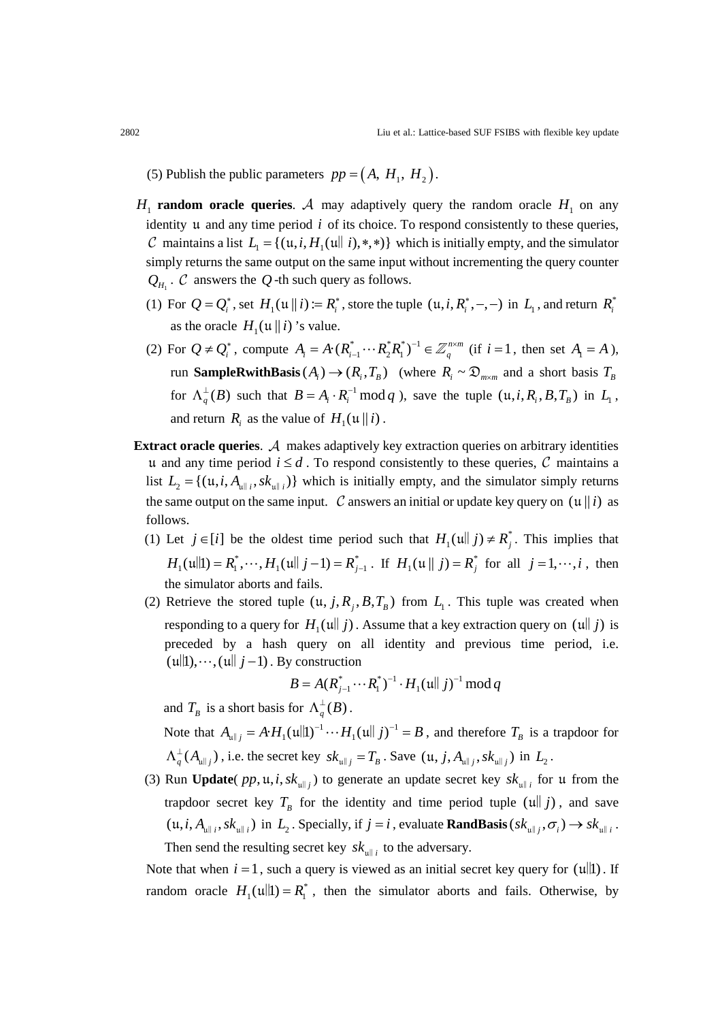(5) Publish the public parameters  $pp = (A, H<sub>1</sub>, H<sub>2</sub>)$ .

- $H_1$  **random oracle queries**. A may adaptively query the random oracle  $H_1$  on any identity u and any time period *i* of its choice. To respond consistently to these queries,  $\mathcal C$  maintains a list  $L_1 = \{ (\mathfrak u, i, H_1(\mathfrak u \mid i), *, *) \}$  which is initially empty, and the simulator simply returns the same output on the same input without incrementing the query counter  $Q<sub>H</sub>$ .  $C$  answers the  $Q$ -th such query as follows.
	- (1) For  $Q = Q_i^*$ , set  $H_1(\mathfrak{u} \parallel i) := R_i^*$ , store the tuple  $(\mathfrak{u}, i, R_i^*, -,-)$  in  $L_1$ , and return  $R_i^*$ as the oracle  $H_1(\mu || i)$ 's value.
	- (2) For  $Q \neq Q_i^*$ , compute  $A_i = A \cdot (R_{i-1}^* \cdots R_2^* R_1^*)^{-1} \in \mathbb{Z}_q^{n \times m}$  (if  $i = 1$ , then set  $A_i = A$ ), run **SampleRwithBasis**  $(A_i) \rightarrow (R_i, T_B)$  (where  $R_i \sim \mathfrak{D}_{m \times m}$  and a short basis  $T_B$ for  $\Lambda_q^{\perp}(B)$  such that  $B = A_i \cdot R_i^{-1} \mod q$ , save the tuple  $(\mu, i, R_i, B, T_B)$  in  $L_1$ , and return *R<sub>i</sub>* as the value of  $H_1(\mathfrak{u} \parallel i)$ .
- **Extract oracle queries.**  $\mathcal A$  makes adaptively key extraction queries on arbitrary identities u and any time period  $i \leq d$ . To respond consistently to these queries, C maintains a list  $L_2 = \{ (u, i, A_{u||i}, sk_{u||i}) \}$  which is initially empty, and the simulator simply returns the same output on the same input. C answers an initial or update key query on  $(\mu || i)$  as follows.
	- (1) Let  $j \in [i]$  be the oldest time period such that  $H_1(\text{full } j) \neq R_j^*$ . This implies that  $H_1(\text{null}) = R_1^*, \dots, H_1(\text{null } j-1) = R_{j-1}^*$ . If  $H_1(\text{null } j) = R_j^*$  for all  $j = 1, \dots, i$ , then the simulator aborts and fails.
	- (2) Retrieve the stored tuple  $(u, j, R_j, B, T_B)$  from  $L_1$ . This tuple was created when responding to a query for  $H_1(u||j)$ . Assume that a key extraction query on  $(u||j)$  is preceded by a hash query on all identity and previous time period, i.e.  $(u\| 1), \dots, (u\|$   $j-1)$ . By construction

$$
B = A(R_{j-1}^* \cdots R_1^*)^{-1} \cdot H_1(\mathfrak{u} \parallel j)^{-1} \bmod q
$$

and  $T_B$  is a short basis for  $\Lambda_q^{\perp}(B)$ .

Note that  $A_{\mu \| j} = A \cdot H_1(\mu \| 1)^{-1} \cdots H_1(\mu \| j)^{-1} = B$ , and therefore  $T_B$  is a trapdoor for  $\Lambda_q^{\perp}(A_{\mathfrak{u}\parallel j})$ , i.e. the secret key  $sk_{\mathfrak{u}\parallel j} = T_B$ . Save  $(\mathfrak{u}, j, A_{\mathfrak{u}\parallel j}, sk_{\mathfrak{u}\parallel j})$  in  $L_2$ .

(3) Run **Update**(  $pp$ ,  $\mu$ , *i*,  $sk_{\mu||i}$ ) to generate an update secret key  $sk_{\mu||i}$  for  $\mu$  from the trapdoor secret key  $T_B$  for the identity and time period tuple (u|| *j*), and save  $(u, i, A_{\text{full }i}, s k_{\text{full }i})$  in  $L_2$ . Specially, if  $j = i$ , evaluate **RandBasis** $(s k_{\text{full }i}, \sigma_i) \rightarrow s k_{\text{full }i}$ . Then send the resulting secret key  $sk_{\text{full }i}$  to the adversary.

Note that when  $i = 1$ , such a query is viewed as an initial secret key query for  $(u||1)$ . If random oracle  $H_1(u||1) = R_1^*$ , then the simulator aborts and fails. Otherwise, by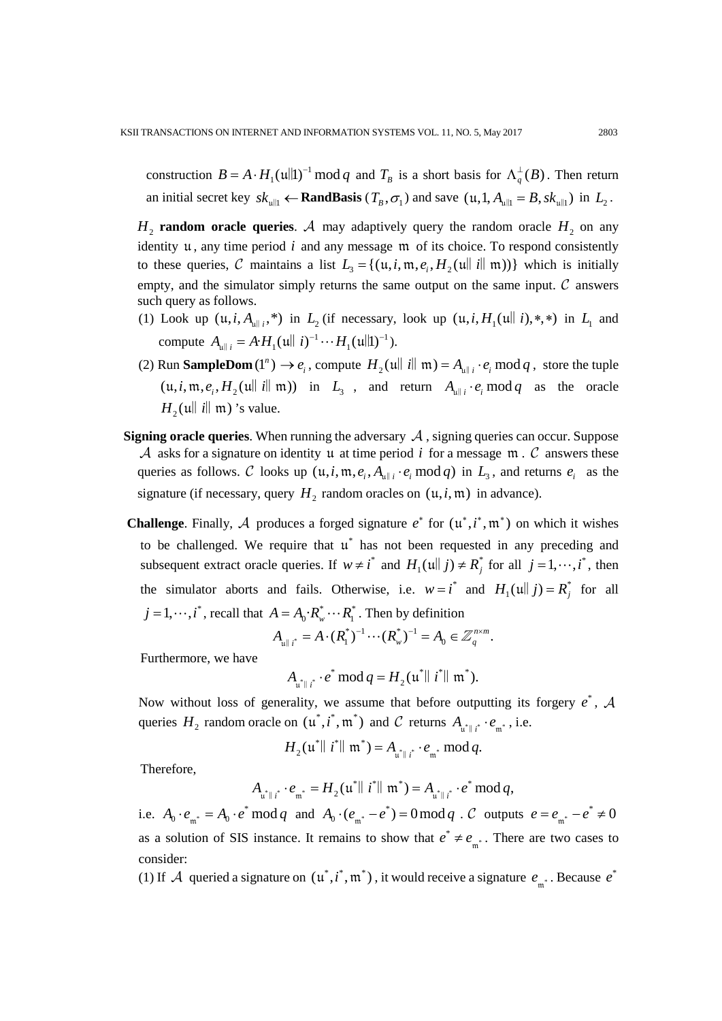construction  $B = A \cdot H_1(\text{u}||1)^{-1} \text{ mod } q$  and  $T_B$  is a short basis for  $\Lambda_q^{\perp}(B)$ . Then return an initial secret key  $sk_{\text{full}} \leftarrow \text{RandBasis}$  ( $T_B, \sigma_1$ ) and save  $(\mu, 1, A_{\text{full}} = B, sk_{\text{full}})$  in  $L_2$ .

 $H_2$  **random oracle queries**. A may adaptively query the random oracle  $H_2$  on any identity  $\mu$ , any time period  $i$  and any message  $m$  of its choice. To respond consistently to these queries, C maintains a list  $L_3 = \{(u, i, m, e_i, H_2(u||i||m))\}$  which is initially empty, and the simulator simply returns the same output on the same input.  $C$  answers such query as follows.

- (1) Look up  $(u, i, A_{u\vert i}, *)$  in  $L_2$  (if necessary, look up  $(u, i, H_1(u\vert i), *, *)$  in  $L_1$  and compute  $A_{\mu \| i} = A \cdot H_1(\mu \| i)^{-1} \cdots H_1(\mu \| 1)^{-1}$ .
- (2) Run **SampleDom**  $(1^n) \to e_i$ , compute  $H_2(\text{full } i \mid \text{m}) = A_{\text{full } i} \cdot e_i \mod q$ , store the tuple  $(u, i, m, e_i, H_2(u||i||m))$  in  $L_3$ , and return  $A_{u||i} \cdot e_i \mod q$  as the oracle  $H_2(u||i||m)$ 's value.
- **Signing oracle queries**. When running the adversary  $A$ , signing queries can occur. Suppose A asks for a signature on identity u at time period  $i$  for a message  $m \cdot C$  answers these queries as follows.  $\mathcal C$  looks up  $(\mathfrak u, i, \mathfrak m, e_i, A_{\mathfrak u}, \cdot e_i \bmod q)$  in  $L_3$ , and returns  $e_i$  as the signature (if necessary, query  $H_2$  random oracles on  $(\mu, i, \mathfrak{m})$  in advance).
- **Challenge.** Finally, A produces a forged signature  $e^*$  for  $(\mathfrak{u}^*, i^*, \mathfrak{m}^*)$  on which it wishes to be challenged. We require that  $\mu^*$  has not been requested in any preceding and subsequent extract oracle queries. If  $w \neq i^*$  and  $H_1(u|| j) \neq R_j^*$  for all  $j = 1, \dots, i^*$ , then the simulator aborts and fails. Otherwise, i.e.  $w = i^*$  and  $H_1(u|| j) = R_j^*$  for all  $j = 1, \dots, i^*$ , recall that  $A = A_0 \cdot R_w^* \cdots R_1^*$ . Then by definition

$$
A_{\mathfrak{u}\parallel i^*} = A \cdot (R_1^*)^{-1} \cdots (R_{\mathfrak{w}}^*)^{-1} = A_0 \in \mathbb{Z}_q^{n \times m}.
$$

Furthermore, we have

$$
A_{\mathfrak{u}^*\parallel i^*}\cdot e^*\mod q = H_2(\mathfrak{u}^*\parallel i^*\parallel \mathfrak{m}^*).
$$

Now without loss of generality, we assume that before outputting its forgery  $e^*$ ,  $\mathcal A$ queries  $H_2$  random oracle on  $(\mathfrak{u}^*, i^*, \mathfrak{m}^*)$  and  $C$  returns  $A_{\mathfrak{u}^* \mid i^*} \cdot e_{\mathfrak{m}^*}$ , i.e.

$$
H_2(\mathfrak{u}^* \parallel i^* \parallel \mathfrak{m}^*) = A_{\mathfrak{u}^* \parallel i^*} \cdot e_{\mathfrak{m}^*} \mod q.
$$

Therefore,

$$
A_{\mathfrak{u}^*\|\cdot\|^*} \cdot e_{\mathfrak{m}^*} = H_2(\mathfrak{u}^*\|\cdot\|^* \|\mathfrak{m}^*) = A_{\mathfrak{u}^*\|\cdot\|^*} \cdot e^* \bmod q,
$$

i.e.  $A_0 \cdot e_{m^*} = A_0 \cdot e^* \mod q$  and  $A_0 \cdot (e_{m^*} - e^*) = 0 \mod q$ . C outputs  $e = e_{m^*} - e^* \neq 0$ as a solution of SIS instance. It remains to show that  $e^* \neq e_{m^*}$ . There are two cases to consider:

(1) If A queried a signature on  $(\mu^*, i^*, m^*)$ , it would receive a signature  $e_{m^*}$ . Because  $e^*$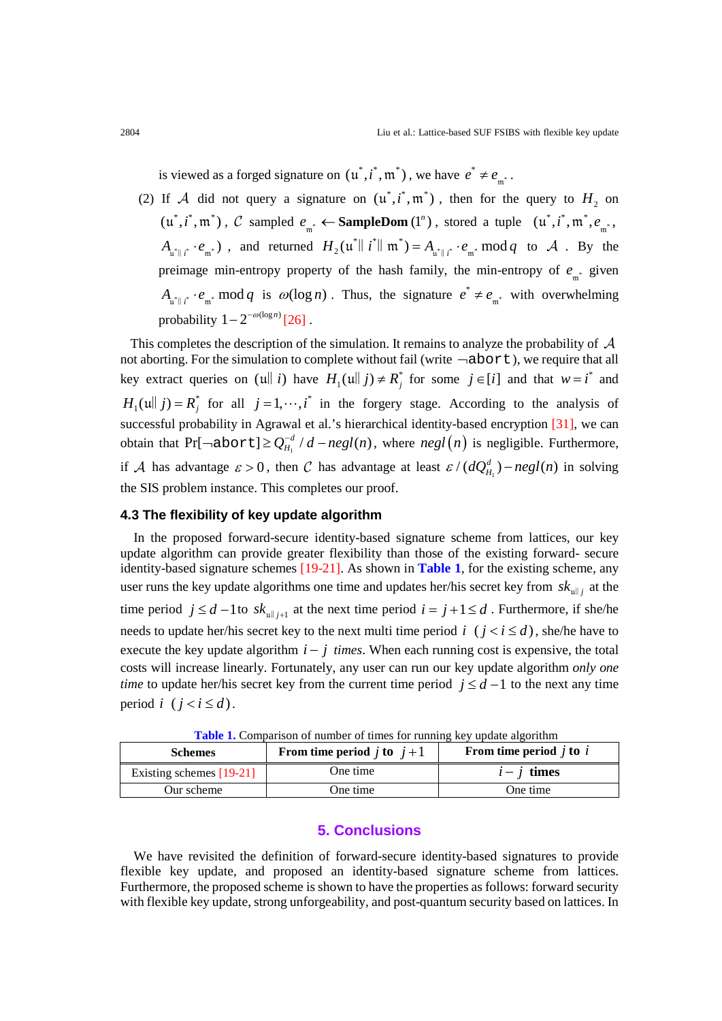is viewed as a forged signature on  $(u^*, i^*, m^*)$ , we have  $e^* \neq e_{m^*}$ .

(2) If A did not query a signature on  $(\mu^*, i^*, \mathfrak{m}^*)$ , then for the query to  $H_2$  on  $(u^*, i^*, m^*)$ , C sampled  $e_{m^*} \leftarrow$  **SampleDom**  $(l^n)$ , stored a tuple  $(u^*, i^*, m^*, e_{m^*},$  $A_{\mathfrak{u}^*\parallel i^*} \cdot e_{\mathfrak{m}^*}$ ), and returned  $H_2(\mathfrak{u}^*\parallel i^*\parallel \mathfrak{m}^*) = A_{\mathfrak{u}^*\parallel i^*} \cdot e_{\mathfrak{m}^*} \mod q$  to  $A$ . By the preimage min-entropy property of the hash family, the min-entropy of  $e_{n*}$  given  $A_{u^*\parallel i^*} \cdot e_{m^*} \mod q$  is  $\omega(\log n)$ . Thus, the signature  $e^* \neq e_{m^*}$  with overwhelming probability  $1 - 2^{-\omega(\log n)}$  [\[26\]](#page-14-2).

This completes the description of the simulation. It remains to analyze the probability of  $A$ not aborting. For the simulation to complete without fail (write ¬abort), we require that all key extract queries on  $(u||i)$  have  $H_1(u||j) \neq R_j^*$  for some  $j \in [i]$  and that  $w = i^*$  and  $H_1(u|| j) = R_j^*$  for all  $j = 1, \dots, i^*$  in the forgery stage. According to the analysis of successful probability in Agrawal et al.'s hierarchical identity-based encryption [\[31\],](#page-14-7) we can obtain that  $Pr[\neg \text{abort}] \geq Q_{H_1}^{-d} / d - negl(n)$ , where  $negl(n)$  is negligible. Furthermore, if A has advantage  $\varepsilon > 0$ , then C has advantage at least  $\varepsilon / ( d Q_{H_1}^d ) - negl(n)$  in solving the SIS problem instance. This completes our proof.

### **4.3 The flexibility of key update algorithm**

In the proposed forward-secure identity-based signature scheme from lattices, our key update algorithm can provide greater flexibility than those of the existing forward- secure identity-based signature schemes [19-21]. As shown in **Table 1**, for the existing scheme, any user runs the key update algorithms one time and updates her/his secret key from  $sk_{\mu \| i}$  at the time period  $j \leq d$  -1to  $sk_{m+j}$  at the next time period  $i = j+1 \leq d$ . Furthermore, if she/he needs to update her/his secret key to the next multi time period  $i$  ( $j < i \le d$ ), she/he have to execute the key update algorithm  $i - j$  times. When each running cost is expensive, the total costs will increase linearly. Fortunately, any user can run our key update algorithm *only one time* to update her/his secret key from the current time period  $j \leq d - 1$  to the next any time period *i* ( $i < i \le d$ ).

| <b>Schemes</b>           | From time period <i>j</i> to $j+1$ | From time period $\dot{j}$ to $\dot{i}$ |
|--------------------------|------------------------------------|-----------------------------------------|
| Existing schemes [19-21] | One time                           | $i - j$ times                           |
| Our scheme               | One time                           | One time                                |

**Table 1.** Comparison of number of times for running key update algorithm

### **5. Conclusions**

We have revisited the definition of forward-secure identity-based signatures to provide flexible key update, and proposed an identity-based signature scheme from lattices. Furthermore, the proposed scheme is shown to have the properties as follows: forward security with flexible key update, strong unforgeability, and post-quantum security based on lattices. In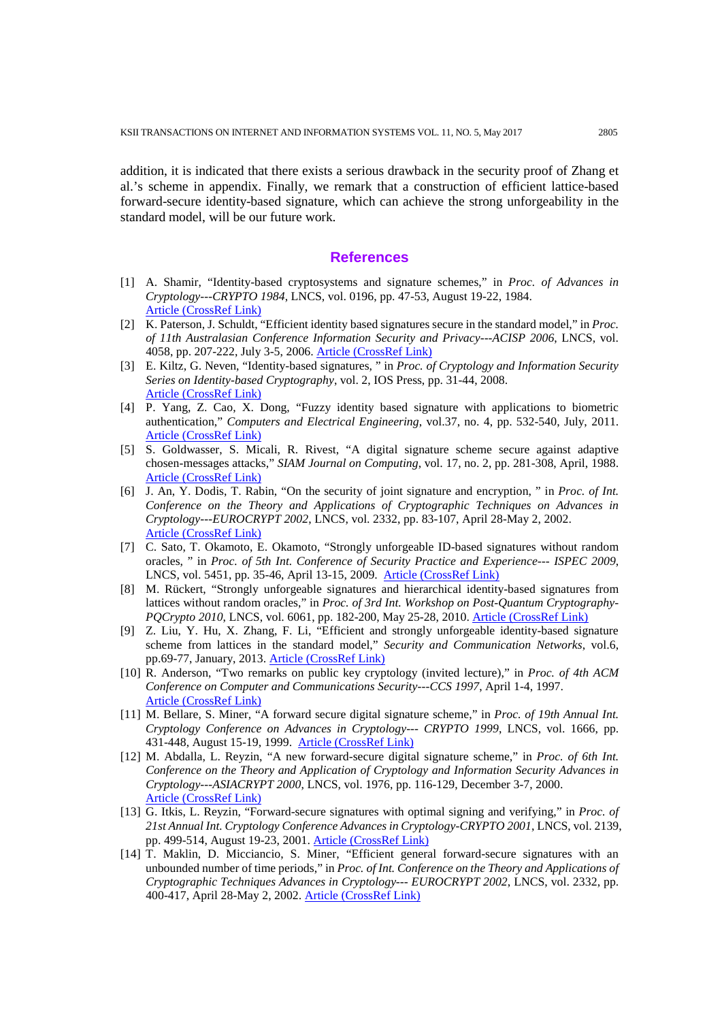addition, it is indicated that there exists a serious drawback in the security proof of Zhang et al.'s scheme in appendix. Finally, we remark that a construction of efficient lattice-based forward-secure identity-based signature, which can achieve the strong unforgeability in the standard model, will be our future work.

#### **References**

- <span id="page-13-0"></span>[1] A. Shamir, "Identity-based cryptosystems and signature schemes," in *Proc. of Advances in Cryptology---CRYPTO 1984*, LNCS, vol. 0196, pp. 47-53, August 19-22, 1984. [Article \(CrossRef Link\)](http://dx.doi.org/doi:10.1007/3-540-39568-7_5)
- [2] K. Paterson, J. Schuldt, "Efficient identity based signatures secure in the standard model," in *Proc. of 11th Australasian Conference Information Security and Privacy---ACISP 2006*, LNCS, vol. 4058, pp. 207-222, July 3-5, 2006. [Article \(CrossRef Link\)](http://dx.doi.org/doi:10.1007/11780656_18)
- [3] E. Kiltz, G. Neven, "Identity-based signatures, " in *Proc. of Cryptology and Information Security Series on Identity-based Cryptography*, vol. 2, IOS Press, pp. 31-44, 2008. [Article \(CrossRef Link\)](http://dx.doi.org/doi:10.3233/978-1-58603-947-9-31)
- [4] P. Yang, Z. Cao, X. Dong, "Fuzzy identity based signature with applications to biometric authentication," *Computers and Electrical Engineering*, vol.37, no. 4, pp. 532-540, July, 2011. [Article \(CrossRef Link\)](http://dx.doi.org/doi:10.1016/j.compeleceng.2011.04.013)
- <span id="page-13-1"></span>[5] S. Goldwasser, S. Micali, R. Rivest, "A digital signature scheme secure against adaptive chosen-messages attacks," *SIAM Journal on Computing*, vol. 17, no. 2, pp. 281-308, April, 1988. [Article \(CrossRef Link\)](http://dx.doi.org/doi:10.1137/0217017)
- <span id="page-13-2"></span>[6] J. An, Y. Dodis, T. Rabin, "On the security of joint signature and encryption, " in *Proc. of Int. Conference on the Theory and Applications of Cryptographic Techniques on Advances in Cryptology---EUROCRYPT 2002*, LNCS, vol. 2332, pp. 83-107, April 28-May 2, 2002. [Article \(CrossRef Link\)](http://dx.doi.org/doi:10.1007/3-540-46035-7_6)
- [7] C. Sato, T. Okamoto, E. Okamoto, "Strongly unforgeable ID-based signatures without random oracles, " in *Proc. of 5th Int. Conference of Security Practice and Experience--- ISPEC 2009*, LNCS, vol. 5451, pp. 35-46, April 13-15, 2009. [Article \(CrossRef Link\)](http://dx.doi.org/doi:10.1007/978-3-642-00843-6_4)
- [8] M. Rückert, "Strongly unforgeable signatures and hierarchical identity-based signatures from lattices without random oracles," in *Proc. of 3rd Int. Workshop on Post-Quantum Cryptography-PQCrypto 2010*, LNCS, vol. 6061, pp. 182-200, May 25-28, 2010. [Article \(CrossRef Link\)](http://dx.doi.org/doi:10.1007/978-3-642-12929-2_14)
- [9] Z. Liu, Y. Hu, X. Zhang, F. Li, "Efficient and strongly unforgeable identity-based signature scheme from lattices in the standard model," *Security and Communication Networks*, vol.6, pp.69-77, January, 2013. [Article \(CrossRef Link\)](http://dx.doi.org/doi:10.1002/sec.531)
- <span id="page-13-3"></span>[10] R. Anderson, "Two remarks on public key cryptology (invited lecture)," in *Proc. of 4th ACM Conference on Computer and Communications Security---CCS 1997*, April 1-4, 1997. [Article \(CrossRef Link\)](http://www.cl.cam.ac.uk/techreports/UCAM-CL-TR-549.pdf)
- [11] M. Bellare, S. Miner, "A forward secure digital signature scheme," in *Proc. of 19th Annual Int. Cryptology Conference on Advances in Cryptology--- CRYPTO 1999*, LNCS, vol. 1666, pp. 431-448, August 15-19, 1999. [Article \(CrossRef Link\)](http://dx.doi.org/doi:10.1007/3-540-48405-1_28)
- [12] M. Abdalla, L. Reyzin, "A new forward-secure digital signature scheme," in *Proc. of 6th Int. Conference on the Theory and Application of Cryptology and Information Security Advances in Cryptology---ASIACRYPT 2000*, LNCS, vol. 1976, pp. 116-129, December 3-7, 2000. [Article \(CrossRef Link\)](http://dx.doi.org/doi:10.1007/3-540-44448-3_10)
- [13] G. Itkis, L. Reyzin, "Forward-secure signatures with optimal signing and verifying," in *Proc. of 21st Annual Int. Cryptology Conference Advances in Cryptology-CRYPTO 2001*, LNCS, vol. 2139, pp. 499-514, August 19-23, 2001. [Article \(CrossRef Link\)](http://dx.doi.org/doi:10.1007/3-540-44647-8_20)
- [14] T. Maklin, D. Micciancio, S. Miner, "Efficient general forward-secure signatures with an unbounded number of time periods," in *Proc. of Int. Conference on the Theory and Applications of Cryptographic Techniques Advances in Cryptology--- EUROCRYPT 2002*, LNCS, vol. 2332, pp. 400-417, April 28-May 2, 2002. [Article \(CrossRef Link\)](http://dx.doi.org/doi:10.1007/3-540-46035-7_27)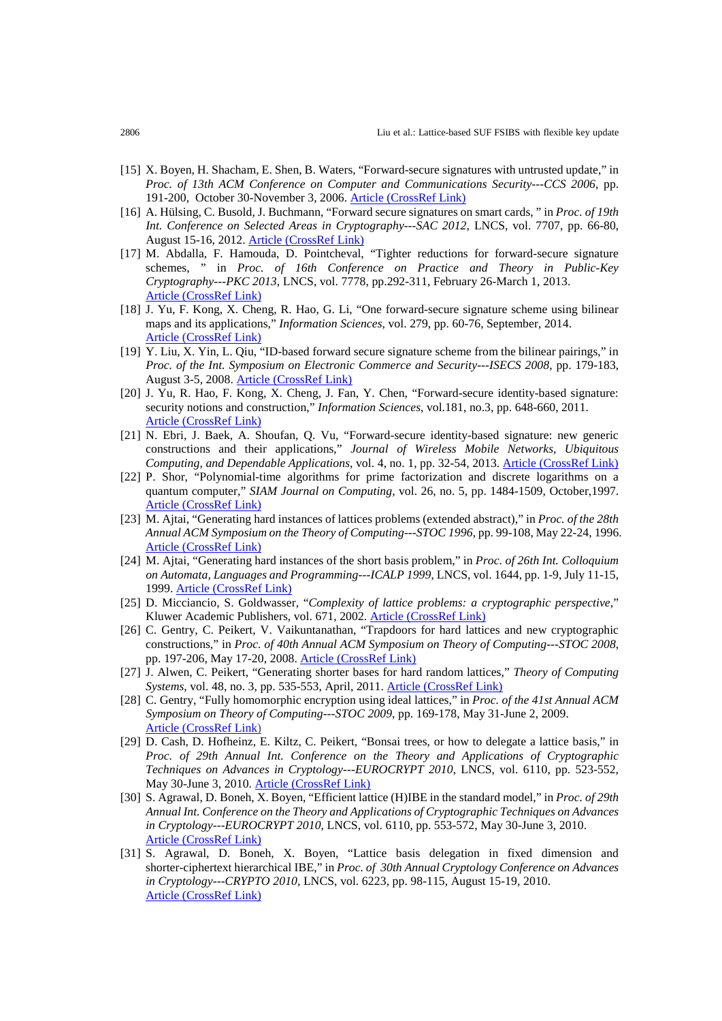- [15] X. Boyen, H. Shacham, E. Shen, B. Waters, "Forward-secure signatures with untrusted update," in *Proc. of 13th ACM Conference on Computer and Communications Security---CCS 2006*, pp. 191-200, October 30-November 3, 2006. [Article \(CrossRef Link\)](http://dx.doi.org/doi:10.1145/1180405.1180430)
- [16] A. Hülsing, C. Busold, J. Buchmann, "Forward secure signatures on smart cards, " in *Proc. of 19th Int. Conference on Selected Areas in Cryptography---SAC 2012*, LNCS, vol. 7707, pp. 66-80, August 15-16, 2012. [Article \(CrossRef Link\)](http://dx.doi.org/doi:10.1007/978-3-642-35999-6_5)
- [17] M. Abdalla, F. Hamouda, D. Pointcheval, "Tighter reductions for forward-secure signature schemes, " in *Proc. of 16th Conference on Practice and Theory in Public-Key Cryptography---PKC 2013*, LNCS, vol. 7778, pp.292-311, February 26-March 1, 2013. [Article \(CrossRef Link\)](http://dx.doi.org/doi:10.1007/978-3-642-36362-7_19)
- [18] J. Yu, F. Kong, X. Cheng, R. Hao, G. Li, "One forward-secure signature scheme using bilinear maps and its applications," *Information Sciences*, vol. 279, pp. 60-76, September, 2014. [Article \(CrossRef Link\)](http://dx.doi.org/doi:10.1016/j.ins.2014.03.082)
- [19] Y. Liu, X. Yin, L. Qiu, "ID-based forward secure signature scheme from the bilinear pairings," in *Proc. of the Int. Symposium on Electronic Commerce and Security---ISECS 2008*, pp. 179-183, August 3-5, 2008. [Article \(CrossRef Link\)](http://dx.doi.org/doi:10.1109/ISECS.2008.220)
- <span id="page-14-8"></span>[20] J. Yu, R. Hao, F. Kong, X. Cheng, J. Fan, Y. Chen, "Forward-secure identity-based signature: security notions and construction," *Information Sciences*, vol.181, no.3, pp. 648-660, 2011. [Article \(CrossRef Link\)](http://dx.doi.org/doi:10.1016/j.ins.2010.09.034)
- [21] N. Ebri, J. Baek, A. Shoufan, Q. Vu, "Forward-secure identity-based signature: new generic constructions and their applications," *Journal of Wireless Mobile Networks, Ubiquitous Computing, and Dependable Applications*, vol. 4, no. 1, pp. 32-54, 2013. [Article \(CrossRef Link\)](http://isyou.info/jowua/papers/jowua-v4n1-2.pdf)
- <span id="page-14-0"></span>[22] P. Shor, "Polynomial-time algorithms for prime factorization and discrete logarithms on a quantum computer," *SIAM Journal on Computing*, vol. 26, no. 5, pp. 1484-1509, October,1997. [Article \(CrossRef Link\)](http://dx.doi.org/doi:10.1137/S0097539795293172)
- <span id="page-14-1"></span>[23] M. Ajtai, "Generating hard instances of lattices problems (extended abstract)," in *Proc. of the 28th Annual ACM Symposium on the Theory of Computing---STOC 1996*, pp. 99-108, May 22-24, 1996. [Article \(CrossRef Link\)](http://dx.doi.org/doi:10.1145/237814.237838)
- <span id="page-14-4"></span>[24] M. Ajtai, "Generating hard instances of the short basis problem," in *Proc. of 26th Int. Colloquium on Automata, Languages and Programming---ICALP 1999*, LNCS, vol. 1644, pp. 1-9, July 11-15, 1999. [Article \(CrossRef Link\)](http://dx.doi.org/doi:10.1007/3-540-48523-6_1)
- <span id="page-14-3"></span>[25] D. Micciancio, S. Goldwasser, "*Complexity of lattice problems: a cryptographic perspective*," Kluwer Academic Publishers, vol. 671, 2002. [Article \(CrossRef Link\)](http://dx.doi.org/doi:10.1007/978-1-4615-0897-7)
- <span id="page-14-2"></span>[26] C. Gentry, C. Peikert, V. Vaikuntanathan, "Trapdoors for hard lattices and new cryptographic constructions," in *Proc. of 40th Annual ACM Symposium on Theory of Computing---STOC 2008*, pp. 197-206, May 17-20, 2008. [Article \(CrossRef Link\)](http://dx.doi.org/doi:10.1145/1374376.1374407)
- <span id="page-14-5"></span>[27] J. Alwen, C. Peikert, "Generating shorter bases for hard random lattices," *Theory of Computing Systems*, vol. 48, no. 3, pp. 535-553, April, 2011. [Article \(CrossRef Link\)](http://dx.doi.org/doi:10.1007/s00224-010-9278-3)
- [28] C. Gentry, "Fully homomorphic encryption using ideal lattices," in *Proc. of the 41st Annual ACM Symposium on Theory of Computing---STOC 2009*, pp. 169-178, May 31-June 2, 2009. [Article \(CrossRef Link\)](http://dx.doi.org/doi:10.1145/1536414.1536440)
- <span id="page-14-6"></span>[29] D. Cash, D. Hofheinz, E. Kiltz, C. Peikert, "Bonsai trees, or how to delegate a lattice basis," in *Proc. of 29th Annual Int. Conference on the Theory and Applications of Cryptographic Techniques on Advances in Cryptology---EUROCRYPT 2010*, LNCS, vol. 6110, pp. 523-552, May 30-June 3, 2010. [Article \(CrossRef Link\)](http://dx.doi.org/doi:10.1007/978-3-642-13190-5_27)
- [30] S. Agrawal, D. Boneh, X. Boyen, "Efficient lattice (H)IBE in the standard model," in *Proc. of 29th Annual Int. Conference on the Theory and Applications of Cryptographic Techniques on Advances in Cryptology---EUROCRYPT 2010*, LNCS, vol. 6110, pp. 553-572, May 30-June 3, 2010. [Article \(CrossRef Link\)](http://dx.doi.org/doi:10.1007/978-3-642-13190-5_28)
- <span id="page-14-7"></span>[31] S. Agrawal, D. Boneh, X. Boyen, "Lattice basis delegation in fixed dimension and shorter-ciphertext hierarchical IBE," in *Proc. of 30th Annual Cryptology Conference on Advances in Cryptology---CRYPTO 2010*, LNCS, vol. 6223, pp. 98-115, August 15-19, 2010. [Article \(CrossRef Link\)](http://dx.doi.org/doi:10.1007/978-3-642-14623-7_6)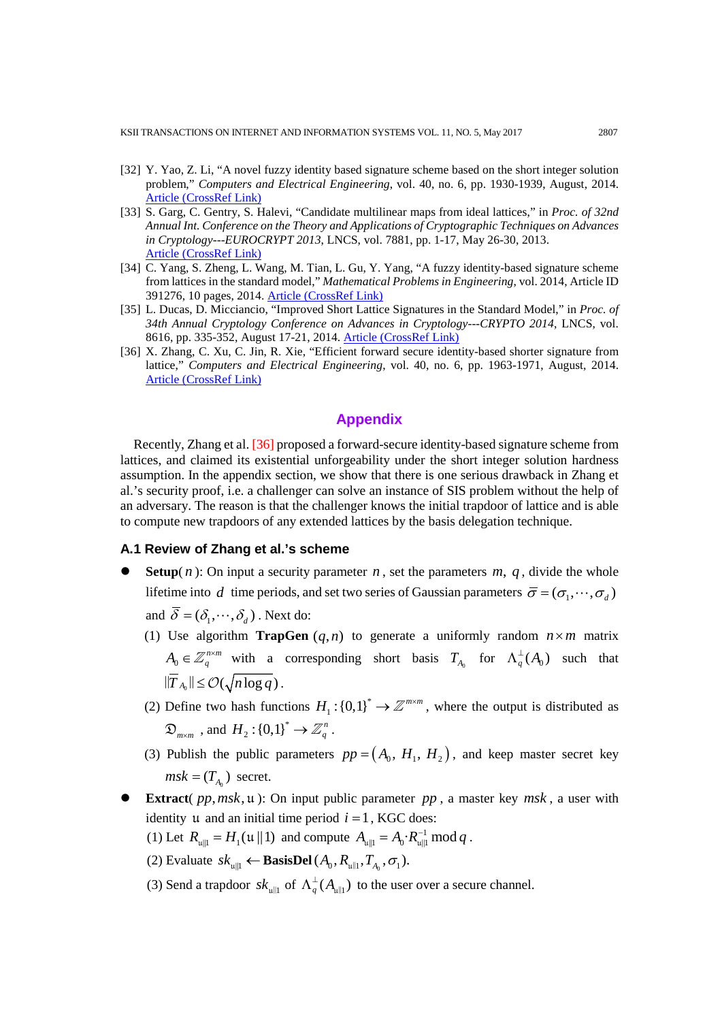- [32] Y. Yao, Z. Li, "A novel fuzzy identity based signature scheme based on the short integer solution problem," *Computers and Electrical Engineering*, vol. 40, no. 6, pp. 1930-1939, August, 2014. [Article \(CrossRef Link\)](http://dx.doi.org/doi:10.1016/j.compeleceng.2013.09.005)
- [33] S. Garg, C. Gentry, S. Halevi, "Candidate multilinear maps from ideal lattices," in *Proc. of 32nd Annual Int. Conference on the Theory and Applications of Cryptographic Techniques on Advances in Cryptology---EUROCRYPT 2013*, LNCS, vol. 7881, pp. 1-17, May 26-30, 2013. [Article \(CrossRef Link\)](http://dx.doi.org/doi:10.1007/978-3-642-38348-9_1)
- [34] C. Yang, S. Zheng, L. Wang, M. Tian, L. Gu, Y. Yang, "A fuzzy identity-based signature scheme from lattices in the standard model," *Mathematical Problems in Engineering*, vol. 2014, Article ID 391276, 10 pages, 2014. [Article \(CrossRef Link\)](http://dx.doi.org/doi:10.1155/2014/391276)
- [35] L. Ducas, D. Micciancio, "Improved Short Lattice Signatures in the Standard Model," in *Proc. of 34th Annual Cryptology Conference on Advances in Cryptology---CRYPTO 2014*, LNCS, vol. 8616, pp. 335-352, August 17-21, 2014. [Article \(CrossRef Link\)](http://dx.doi.org/doi:10.1007/978-3-662-44371-2_19)
- <span id="page-15-0"></span>[36] X. Zhang, C. Xu, C. Jin, R. Xie, "Efficient forward secure identity-based shorter signature from lattice," *Computers and Electrical Engineering*, vol. 40, no. 6, pp. 1963-1971, August, 2014. [Article \(CrossRef Link\)](http://doi.org/10.1016/j.compeleceng.2013.12.003)

# **Appendix**

Recently, Zhang et al[. \[36\]](#page-15-0) proposed a forward-secure identity-based signature scheme from lattices, and claimed its existential unforgeability under the short integer solution hardness assumption. In the appendix section, we show that there is one serious drawback in Zhang et al.'s security proof, i.e. a challenger can solve an instance of SIS problem without the help of an adversary. The reason is that the challenger knows the initial trapdoor of lattice and is able to compute new trapdoors of any extended lattices by the basis delegation technique.

## **A.1 Review of Zhang et al.'s scheme**

- **Setup**( $n$ ): On input a security parameter  $n$ , set the parameters  $m$ ,  $q$ , divide the whole lifetime into *d* time periods, and set two series of Gaussian parameters  $\bar{\sigma} = (\sigma_1, \dots, \sigma_d)$ 
	- and  $\overline{\delta} = (\delta_1, \dots, \delta_d)$ . Next do:
	- (1) Use algorithm **TrapGen**  $(q, n)$  to generate a uniformly random  $n \times m$  matrix  $A_0 \in \mathbb{Z}_q^{n \times m}$  with a corresponding short basis  $T_{A_0}$  for  $\Lambda_q^{\perp}(A_0)$  such that  $\|\overline{T}_{A_0}\| \leq \mathcal{O}(\sqrt{n \log q})$ .
	- (2) Define two hash functions  $H_1$ :  $\{0,1\}^* \to \mathbb{Z}^{m \times m}$ , where the output is distributed as  $\mathfrak{D}_{m \times m}$  , and  $H_2$ :  $\left\{0,1\right\}^* \to \mathbb{Z}_q^n$ .
	- (3) Publish the public parameters  $pp = (A_0, H_1, H_2)$ , and keep master secret key  $msk = (T_A)$  secret.
- **Extract**( $pp, msk, u$ ): On input public parameter  $pp$ , a master key  $msk$ , a user with identity u and an initial time period  $i = 1$ , KGC does:
	- (1) Let  $R_{\mu \|1} = H_1(\mu \| 1)$  and compute  $A_{\mu \|1} = A_0 \cdot R_{\mu \| 1}^{-1} \text{ mod } q$ .
	- (2) Evaluate  $sk_{null} \leftarrow$  **BasisDel**  $(A_0, R_{null}, T_A, \sigma_1)$ .
	- (3) Send a trapdoor  $s k_{\text{full}}$  of  $\Lambda_q^{\perp}(A_{\text{full}})$  to the user over a secure channel.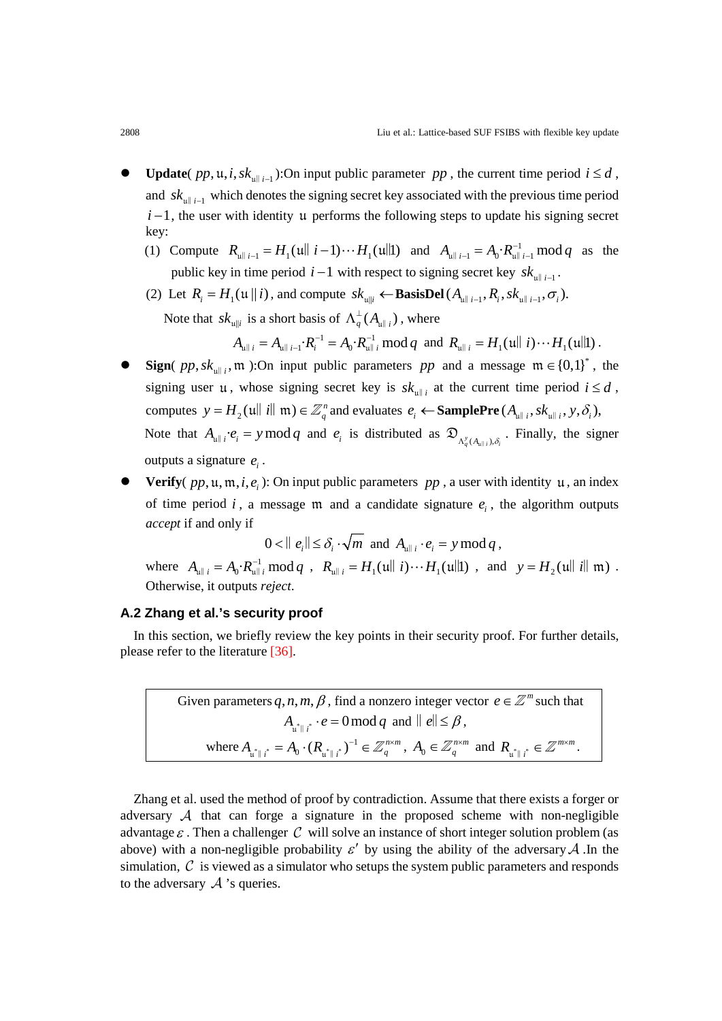- **Update**(  $pp$ ,  $\mu$ , *i*,  $sk_{\mu||i-1}$ ):On input public parameter  $pp$ , the current time period  $i \leq d$ , and  $s k$ <sub>ull i-1</sub> which denotes the signing secret key associated with the previous time period  $i-1$ , the user with identity u performs the following steps to update his signing secret key:
	- (1) Compute  $R_{\text{full }i-1} = H_1(\text{full }i-1)\cdots H_1(\text{full})$  and  $A_{\text{full }i-1} = A_0 \cdot R_{\text{full }i-1}^{-1} \mod q$  as the public key in time period  $i-1$  with respect to signing secret key  $sk$ <sub>u</sub><sub>i-1</sub>.
	- (2) Let  $R_i = H_1(u || i)$ , and compute  $sk_{u || i} \leftarrow$  **BasisDel**  $(A_{u || i-1}, R_i, sk_{u || i-1}, \sigma_i)$ . Note that  $sk_{\mu \|i}$  is a short basis of  $\Lambda_q^{\perp}(A_{\mu \|i})$ , where

 $A_{\mu \| i} = A_{\mu \| i-1} \cdot R_i^{-1} = A_0 \cdot R_{\mu \| i}^{-1} \bmod q$  and  $R_{\mu \| i} = H_1(\mu \| i) \cdots H_1(\mu \| 1)$ .

- **Sign**(  $pp, sk_{m+1}$ , m ):On input public parameters pp and a message  $m \in \{0,1\}^*$ , the signing user u, whose signing secret key is  $sk_{\text{u|| }i}$  at the current time period  $i \leq d$ , computes  $y = H_2(u||i||m) \in \mathbb{Z}_q^n$  and evaluates  $e_i \leftarrow \textbf{SamplePre}(A_{u||i}, sk_{u||i}, y, \delta_i)$ , Note that  $A_{\mu \|i} \cdot e_i = y \mod q$  and  $e_i$  is distributed as  $\mathfrak{D}_{A_q^y(A_{\mu | i}), \delta_i}$ . Finally, the signer outputs a signature  $e_i$ .
- **Verify**( $pp, u, m, i, e$ ): On input public parameters  $pp$ , a user with identity u, an index of time period  $i$ , a message  $m$  and a candidate signature  $e_i$ , the algorithm outputs *accept* if and only if

$$
0 < ||e_i|| \leq \delta_i \cdot \sqrt{m} \text{ and } A_{\mathfrak{u}||i} \cdot e_i = y \bmod q,
$$

where  $A_{\mu \| i} = A_0 \cdot R_{\mu \| i}^{-1} \mod q$ ,  $R_{\mu \| i} = H_1(\mu \| i) \cdots H_1(\mu \| 1)$ , and  $y = H_2(\mu \| i \| \mathfrak{m})$ . Otherwise, it outputs *reject*.

#### **A.2 Zhang et al.'s security proof**

In this section, we briefly review the key points in their security proof. For further details, please refer to the literature [\[36\].](#page-15-0)

> Given parameters  $q, n, m, \beta$ , find a nonzero integer vector  $e \in \mathbb{Z}^m$  such that  $A_{\mathfrak{u}^*\parallel i^*}\cdot e=0\,\text{mod}\,q\,$  and  $\parallel e\parallel\,\leq\beta$ , where  $A_{\mu^*\|\iota^*} = A_0 \cdot (R_{\mu^*\|\iota^*})^{-1} \in \mathbb{Z}_q^{n \times m}$ ,  $A_0 \in \mathbb{Z}_q^{n \times m}$  and  $R_{\mu^*\|\iota^*} \in \mathbb{Z}^{m \times m}$  $R_{\mathfrak{u}^*\parallel i^*}\in\mathbb{Z}^{m\times m}$ .

Zhang et al. used the method of proof by contradiction. Assume that there exists a forger or adversary  $\mathcal A$  that can forge a signature in the proposed scheme with non-negligible advantage  $\varepsilon$ . Then a challenger C will solve an instance of short integer solution problem (as above) with a non-negligible probability  $\varepsilon'$  by using the ability of the adversary A. In the simulation,  $\mathcal C$  is viewed as a simulator who setups the system public parameters and responds to the adversary  $\mathcal A$  's queries.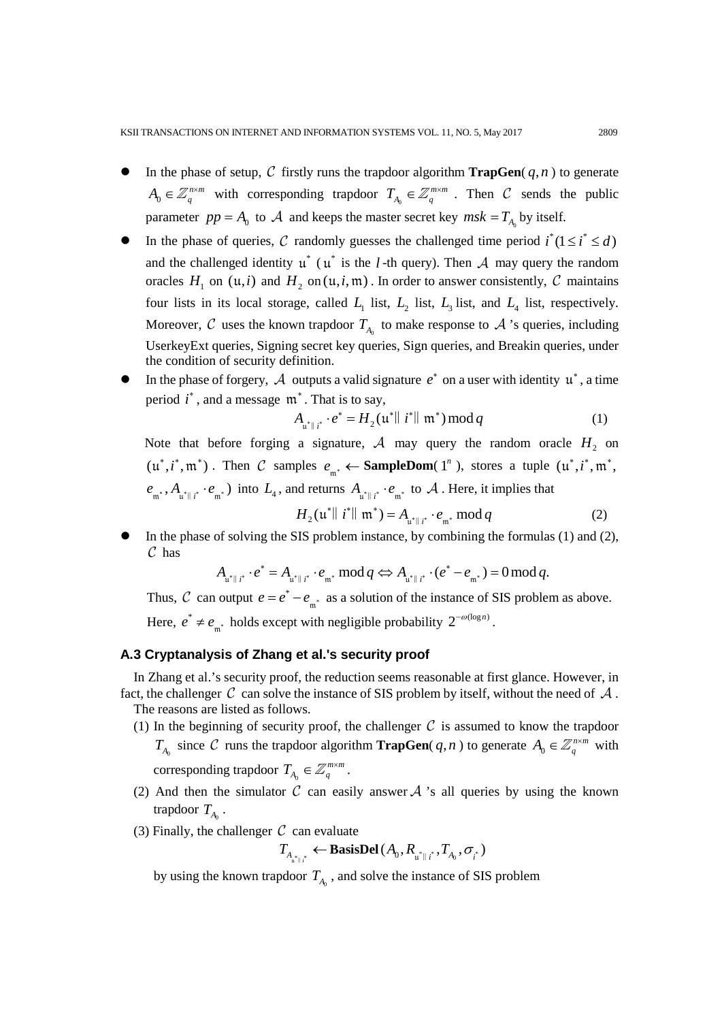- In the phase of setup,  $C$  firstly runs the trapdoor algorithm **TrapGen**( $q, n$ ) to generate  $A_0 \in \mathbb{Z}_q^{n \times m}$  with corresponding trapdoor  $T_{A_0} \in \mathbb{Z}_q^{m \times m}$ . Then C sends the public parameter  $pp = A_0$  to  $\mathcal A$  and keeps the master secret key  $msk = T_{A_0}$  by itself.
- In the phase of queries, C randomly guesses the challenged time period  $i^*(1 \le i^* \le d)$ and the challenged identity  $\mu^*$  ( $\mu^*$  is the *l* -th query). Then A may query the random oracles  $H_1$  on  $(\mathfrak{u},i)$  and  $H_2$  on  $(\mathfrak{u},i,\mathfrak{m})$ . In order to answer consistently, C maintains four lists in its local storage, called  $L_1$  list,  $L_2$  list,  $L_3$  list, and  $L_4$  list, respectively. Moreover,  $C$  uses the known trapdoor  $T_{A_0}$  to make response to  $A$  's queries, including UserkeyExt queries, Signing secret key queries, Sign queries, and Breakin queries, under the condition of security definition.
- In the phase of forgery,  $\mathcal A$  outputs a valid signature  $e^*$  on a user with identity  $\mathfrak u^*$ , a time period  $i^*$ , and a message  $\mathfrak{m}^*$ . That is to say,

$$
A_{\mathfrak{u}^*\|\ i^*} \cdot e^* = H_2(\mathfrak{u}^*\|\ i^*\|\ \mathfrak{m}^*) \,\mathrm{mod}\, q \tag{1}
$$

Note that before forging a signature,  $A$  may query the random oracle  $H_2$  on  $(u^*, i^*, m^*)$ . Then C samples  $e_{m^*} \leftarrow$  **SampleDom**(1<sup>n</sup>), stores a tuple  $(u^*, i^*, m^*, m^*)$  $e_{\mathfrak{m}^*}, A_{\mathfrak{u}^*\parallel i^*} \cdot e_{\mathfrak{m}^*}$  into  $L_4$ , and returns  $A_{\mathfrak{u}^*\parallel i^*} \cdot e_{\mathfrak{m}^*}$  to  $A$ . Here, it implies that

$$
H_2(\mathfrak{u}^* \parallel t^* \parallel \mathfrak{m}^*) = A_{\mathfrak{u}^* \parallel t^*} \cdot e_{\mathfrak{m}^*} \bmod q \tag{2}
$$

 In the phase of solving the SIS problem instance, by combining the formulas (1) and (2),  $\mathcal C$  has

$$
A_{\mathfrak{u}^*\parallel i^*}\cdot e^*=A_{\mathfrak{u}^*\parallel i^*}\cdot e_{\mathfrak{m}^*}\bmod q \Leftrightarrow A_{\mathfrak{u}^*\parallel i^*}\cdot (e^*-e_{\mathfrak{m}^*})=0\operatorname{mod} q.
$$

Thus, C can output  $e = e^* - e_{m^*}$  as a solution of the instance of SIS problem as above. Here,  $e^* \neq e_{m^*}$  holds except with negligible probability  $2^{-\omega(\log n)}$ .

### **A.3 Cryptanalysis of Zhang et al.'s security proof**

In Zhang et al.'s security proof, the reduction seems reasonable at first glance. However, in fact, the challenger C can solve the instance of SIS problem by itself, without the need of  $\mathcal A$ . The reasons are listed as follows.

- (1) In the beginning of security proof, the challenger  $C$  is assumed to know the trapdoor *T*<sub>*A*<sup>0</sup> since *C* runs the trapdoor algorithm **TrapGen**(*q, n*) to generate  $A_0 \in \mathbb{Z}_q^{n \times m}$  with</sub> corresponding trapdoor  $T_{A_0} \in \mathbb{Z}_q^{m \times m}$ .
- (2) And then the simulator  $\mathcal C$  can easily answer  $\mathcal A$  's all queries by using the known trapdoor  $T_{A_0}$ .
- (3) Finally, the challenger  $\mathcal C$  can evaluate

$$
T_{A_{\mathbf{u}^* \parallel i^*}} \leftarrow \text{BasisDel}\left(A_0, R_{\mathbf{u}^* \parallel i^*}, T_{A_0}, \sigma_{i^*}\right)
$$

by using the known trapdoor  $T_A$ , and solve the instance of SIS problem